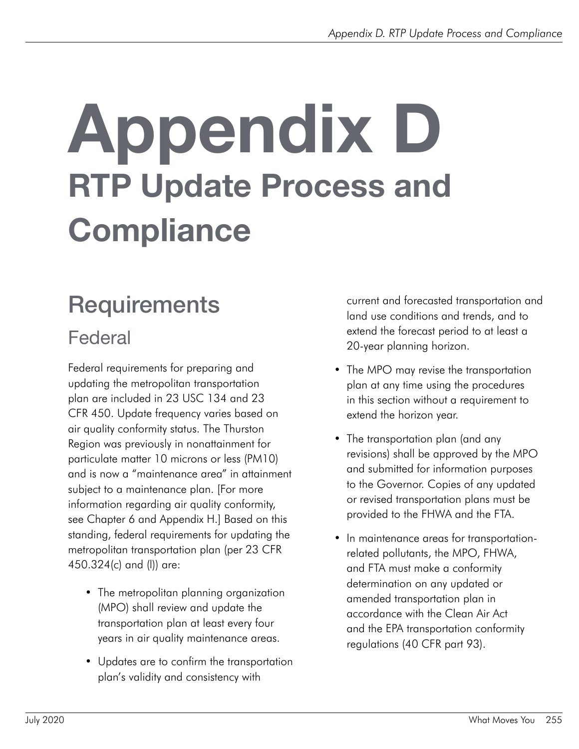# Appendix D RTP Update Process and **Compliance**

# **Requirements**

### Federal

Federal requirements for preparing and updating the metropolitan transportation plan are included in 23 USC 134 and 23 CFR 450. Update frequency varies based on air quality conformity status. The Thurston Region was previously in nonattainment for particulate matter 10 microns or less (PM10) and is now a "maintenance area" in attainment subject to a maintenance plan. [For more information regarding air quality conformity, see Chapter 6 and Appendix H.] Based on this standing, federal requirements for updating the metropolitan transportation plan (per 23 CFR 450.324(c) and (l)) are:

- The metropolitan planning organization (MPO) shall review and update the transportation plan at least every four years in air quality maintenance areas.
- Updates are to confirm the transportation plan's validity and consistency with

current and forecasted transportation and land use conditions and trends, and to extend the forecast period to at least a 20-year planning horizon.

- The MPO may revise the transportation plan at any time using the procedures in this section without a requirement to extend the horizon year.
- The transportation plan (and any revisions) shall be approved by the MPO and submitted for information purposes to the Governor. Copies of any updated or revised transportation plans must be provided to the FHWA and the FTA.
- In maintenance areas for transportationrelated pollutants, the MPO, FHWA, and FTA must make a conformity determination on any updated or amended transportation plan in accordance with the Clean Air Act and the EPA transportation conformity regulations (40 CFR part 93).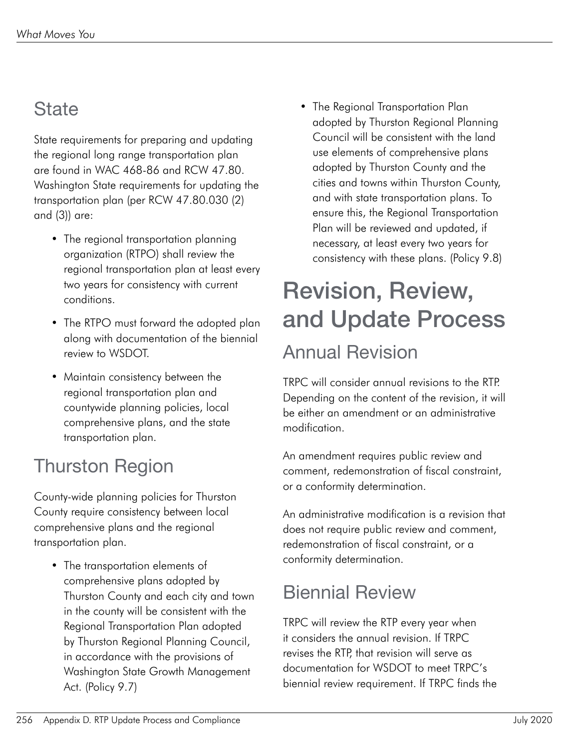### **State**

State requirements for preparing and updating the regional long range transportation plan are found in WAC 468-86 and RCW 47.80. Washington State requirements for updating the transportation plan (per RCW 47.80.030 (2) and (3)) are:

- The regional transportation planning organization (RTPO) shall review the regional transportation plan at least every two years for consistency with current conditions.
- The RTPO must forward the adopted plan along with documentation of the biennial review to WSDOT.
- Maintain consistency between the regional transportation plan and countywide planning policies, local comprehensive plans, and the state transportation plan.

# Thurston Region

County-wide planning policies for Thurston County require consistency between local comprehensive plans and the regional transportation plan.

• The transportation elements of comprehensive plans adopted by Thurston County and each city and town in the county will be consistent with the Regional Transportation Plan adopted by Thurston Regional Planning Council, in accordance with the provisions of Washington State Growth Management Act. (Policy 9.7)

• The Regional Transportation Plan adopted by Thurston Regional Planning Council will be consistent with the land use elements of comprehensive plans adopted by Thurston County and the cities and towns within Thurston County, and with state transportation plans. To ensure this, the Regional Transportation Plan will be reviewed and updated, if necessary, at least every two years for consistency with these plans. (Policy 9.8)

# Revision, Review, and Update Process Annual Revision

TRPC will consider annual revisions to the RTP. Depending on the content of the revision, it will be either an amendment or an administrative modification.

An amendment requires public review and comment, redemonstration of fiscal constraint, or a conformity determination.

An administrative modification is a revision that does not require public review and comment, redemonstration of fiscal constraint, or a conformity determination.

# Biennial Review

TRPC will review the RTP every year when it considers the annual revision. If TRPC revises the RTP, that revision will serve as documentation for WSDOT to meet TRPC's biennial review requirement. If TRPC finds the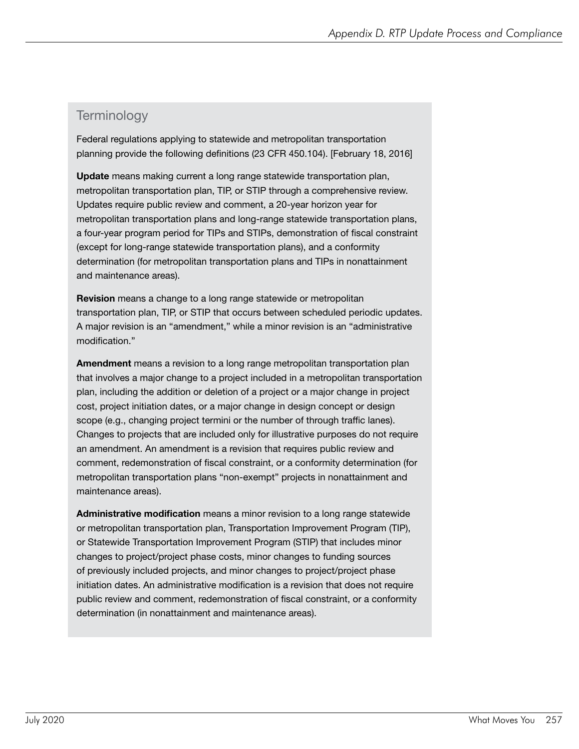#### **Terminology**

Federal regulations applying to statewide and metropolitan transportation planning provide the following definitions (23 CFR 450.104). [February 18, 2016]

Update means making current a long range statewide transportation plan, metropolitan transportation plan, TIP, or STIP through a comprehensive review. Updates require public review and comment, a 20-year horizon year for metropolitan transportation plans and long-range statewide transportation plans, a four-year program period for TIPs and STIPs, demonstration of fiscal constraint (except for long-range statewide transportation plans), and a conformity determination (for metropolitan transportation plans and TIPs in nonattainment and maintenance areas).

Revision means a change to a long range statewide or metropolitan transportation plan, TIP, or STIP that occurs between scheduled periodic updates. A major revision is an "amendment," while a minor revision is an "administrative modification."

Amendment means a revision to a long range metropolitan transportation plan that involves a major change to a project included in a metropolitan transportation plan, including the addition or deletion of a project or a major change in project cost, project initiation dates, or a major change in design concept or design scope (e.g., changing project termini or the number of through traffic lanes). Changes to projects that are included only for illustrative purposes do not require an amendment. An amendment is a revision that requires public review and comment, redemonstration of fiscal constraint, or a conformity determination (for metropolitan transportation plans "non-exempt" projects in nonattainment and maintenance areas).

Administrative modification means a minor revision to a long range statewide or metropolitan transportation plan, Transportation Improvement Program (TIP), or Statewide Transportation Improvement Program (STIP) that includes minor changes to project/project phase costs, minor changes to funding sources of previously included projects, and minor changes to project/project phase initiation dates. An administrative modification is a revision that does not require public review and comment, redemonstration of fiscal constraint, or a conformity determination (in nonattainment and maintenance areas).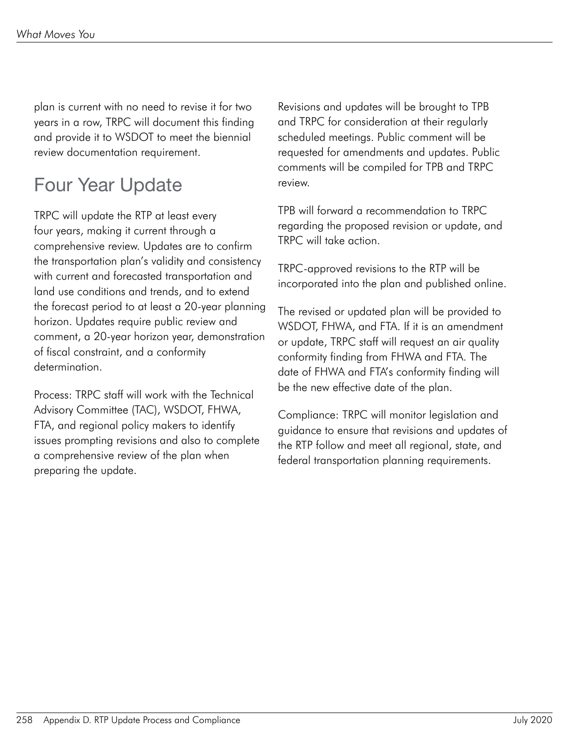plan is current with no need to revise it for two years in a row, TRPC will document this finding and provide it to WSDOT to meet the biennial review documentation requirement.

# Four Year Update

TRPC will update the RTP at least every four years, making it current through a comprehensive review. Updates are to confirm the transportation plan's validity and consistency with current and forecasted transportation and land use conditions and trends, and to extend the forecast period to at least a 20-year planning horizon. Updates require public review and comment, a 20-year horizon year, demonstration of fiscal constraint, and a conformity determination.

Process: TRPC staff will work with the Technical Advisory Committee (TAC), WSDOT, FHWA, FTA, and regional policy makers to identify issues prompting revisions and also to complete a comprehensive review of the plan when preparing the update.

Revisions and updates will be brought to TPB and TRPC for consideration at their regularly scheduled meetings. Public comment will be requested for amendments and updates. Public comments will be compiled for TPB and TRPC review.

TPB will forward a recommendation to TRPC regarding the proposed revision or update, and TRPC will take action.

TRPC-approved revisions to the RTP will be incorporated into the plan and published online.

The revised or updated plan will be provided to WSDOT, FHWA, and FTA. If it is an amendment or update, TRPC staff will request an air quality conformity finding from FHWA and FTA. The date of FHWA and FTA's conformity finding will be the new effective date of the plan.

Compliance: TRPC will monitor legislation and guidance to ensure that revisions and updates of the RTP follow and meet all regional, state, and federal transportation planning requirements.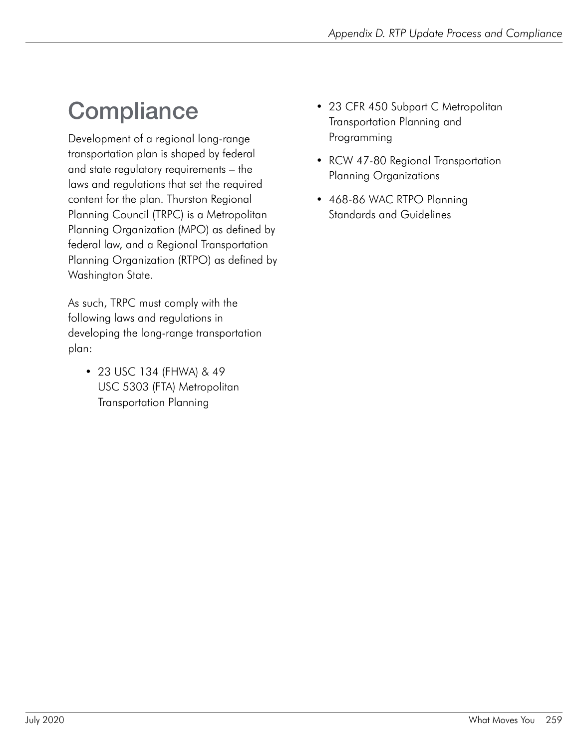# **Compliance**

Development of a regional long-range transportation plan is shaped by federal and state regulatory requirements – the laws and regulations that set the required content for the plan. Thurston Regional Planning Council (TRPC) is a Metropolitan Planning Organization (MPO) as defined by federal law, and a Regional Transportation Planning Organization (RTPO) as defined by Washington State.

As such, TRPC must comply with the following laws and regulations in developing the long-range transportation plan:

• 23 USC 134 (FHWA) & 49 USC 5303 (FTA) Metropolitan Transportation Planning

- 23 CFR 450 Subpart C Metropolitan Transportation Planning and Programming
- RCW 47-80 Regional Transportation Planning Organizations
- 468-86 WAC RTPO Planning Standards and Guidelines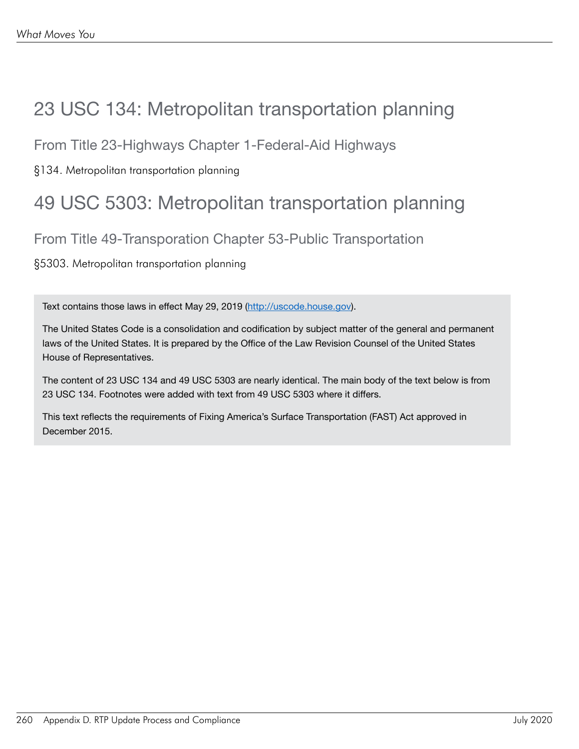### 23 USC 134: Metropolitan transportation planning

From Title 23-Highways Chapter 1-Federal-Aid Highways

§134. Metropolitan transportation planning

### 49 USC 5303: Metropolitan transportation planning

From Title 49-Transporation Chapter 53-Public Transportation

§5303. Metropolitan transportation planning

Text contains those laws in effect May 29, 2019 (<http://uscode.house.gov>).

The United States Code is a consolidation and codification by subject matter of the general and permanent laws of the United States. It is prepared by the Office of the Law Revision Counsel of the United States House of Representatives.

The content of 23 USC 134 and 49 USC 5303 are nearly identical. The main body of the text below is from 23 USC 134. Footnotes were added with text from 49 USC 5303 where it differs.

This text reflects the requirements of Fixing America's Surface Transportation (FAST) Act approved in December 2015.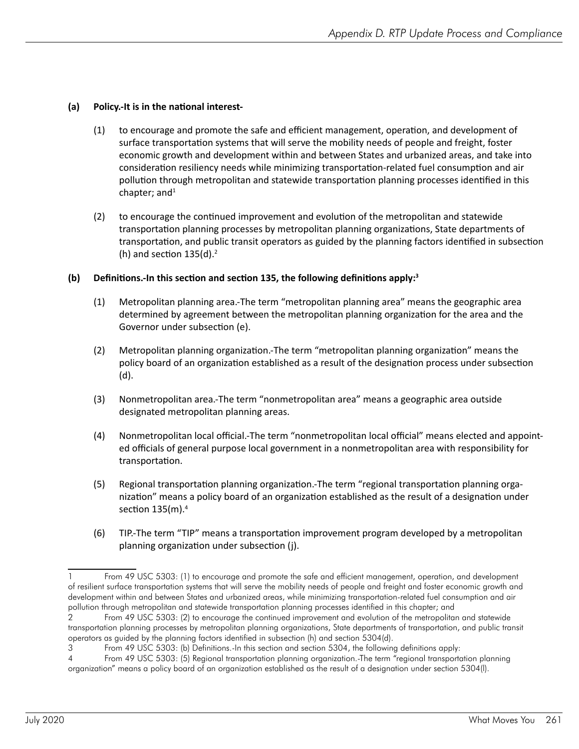#### **(a) Policy.-It is in the national interest-**

- (1) to encourage and promote the safe and efficient management, operation, and development of surface transportation systems that will serve the mobility needs of people and freight, foster economic growth and development within and between States and urbanized areas, and take into consideration resiliency needs while minimizing transportation-related fuel consumption and air pollution through metropolitan and statewide transportation planning processes identified in this chapter; and $1$
- (2) to encourage the continued improvement and evolution of the metropolitan and statewide transportation planning processes by metropolitan planning organizations, State departments of transportation, and public transit operators as guided by the planning factors identified in subsection (h) and section  $135(d).<sup>2</sup>$

#### **(b) Definitions.-In this section and section 135, the following definitions apply:3**

- (1) Metropolitan planning area.-The term "metropolitan planning area" means the geographic area determined by agreement between the metropolitan planning organization for the area and the Governor under subsection (e).
- (2) Metropolitan planning organization.-The term "metropolitan planning organization" means the policy board of an organization established as a result of the designation process under subsection (d).
- (3) Nonmetropolitan area.-The term "nonmetropolitan area" means a geographic area outside designated metropolitan planning areas.
- (4) Nonmetropolitan local official.-The term "nonmetropolitan local official" means elected and appointed officials of general purpose local government in a nonmetropolitan area with responsibility for transportation.
- (5) Regional transportation planning organization.-The term "regional transportation planning organization" means a policy board of an organization established as the result of a designation under section 135(m).<sup>4</sup>
- (6) TIP.-The term "TIP" means a transportation improvement program developed by a metropolitan planning organization under subsection (j).

<sup>1</sup> From 49 USC 5303: (1) to encourage and promote the safe and efficient management, operation, and development of resilient surface transportation systems that will serve the mobility needs of people and freight and foster economic growth and development within and between States and urbanized areas, while minimizing transportation-related fuel consumption and air pollution through metropolitan and statewide transportation planning processes identified in this chapter; and

<sup>2</sup> From 49 USC 5303: (2) to encourage the continued improvement and evolution of the metropolitan and statewide transportation planning processes by metropolitan planning organizations, State departments of transportation, and public transit operators as guided by the planning factors identified in subsection (h) and section 5304(d).

<sup>3</sup> From 49 USC 5303: (b) Definitions.-In this section and section 5304, the following definitions apply:

<sup>4</sup> From 49 USC 5303: (5) Regional transportation planning organization.-The term "regional transportation planning organization" means a policy board of an organization established as the result of a designation under section 5304(l).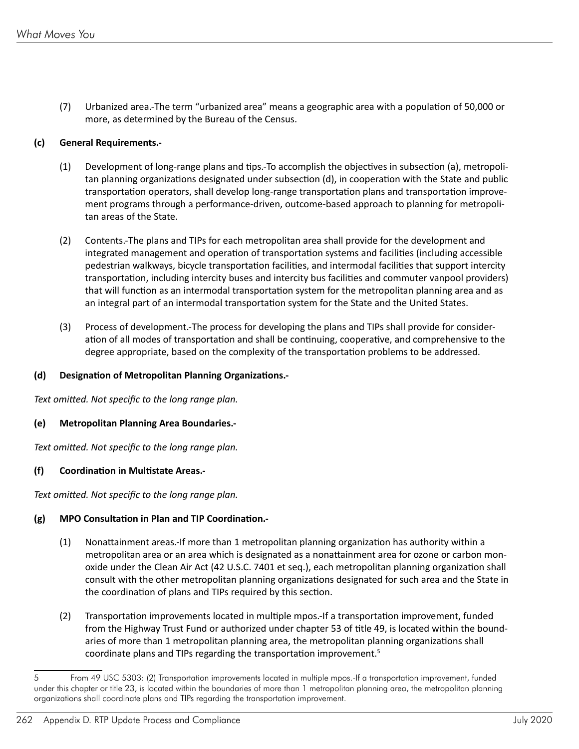(7) Urbanized area.-The term "urbanized area" means a geographic area with a population of 50,000 or more, as determined by the Bureau of the Census.

#### **(c) General Requirements.-**

- (1) Development of long-range plans and tips.-To accomplish the objectives in subsection (a), metropolitan planning organizations designated under subsection (d), in cooperation with the State and public transportation operators, shall develop long-range transportation plans and transportation improvement programs through a performance-driven, outcome-based approach to planning for metropolitan areas of the State.
- (2) Contents.-The plans and TIPs for each metropolitan area shall provide for the development and integrated management and operation of transportation systems and facilities (including accessible pedestrian walkways, bicycle transportation facilities, and intermodal facilities that support intercity transportation, including intercity buses and intercity bus facilities and commuter vanpool providers) that will function as an intermodal transportation system for the metropolitan planning area and as an integral part of an intermodal transportation system for the State and the United States.
- (3) Process of development.-The process for developing the plans and TIPs shall provide for consideration of all modes of transportation and shall be continuing, cooperative, and comprehensive to the degree appropriate, based on the complexity of the transportation problems to be addressed.

#### **(d) Designation of Metropolitan Planning Organizations.-**

*Text omitted. Not specific to the long range plan.*

#### **(e) Metropolitan Planning Area Boundaries.-**

*Text omitted. Not specific to the long range plan.*

#### **(f) Coordination in Multistate Areas.-**

*Text omitted. Not specific to the long range plan.*

#### **(g) MPO Consultation in Plan and TIP Coordination.-**

- (1) Nonattainment areas.-If more than 1 metropolitan planning organization has authority within a metropolitan area or an area which is designated as a nonattainment area for ozone or carbon monoxide under the Clean Air Act (42 U.S.C. 7401 et seq.), each metropolitan planning organization shall consult with the other metropolitan planning organizations designated for such area and the State in the coordination of plans and TIPs required by this section.
- (2) Transportation improvements located in multiple mpos.-If a transportation improvement, funded from the Highway Trust Fund or authorized under chapter 53 of title 49, is located within the boundaries of more than 1 metropolitan planning area, the metropolitan planning organizations shall coordinate plans and TIPs regarding the transportation improvement.<sup>5</sup>

<sup>5</sup> From 49 USC 5303: (2) Transportation improvements located in multiple mpos.-If a transportation improvement, funded under this chapter or title 23, is located within the boundaries of more than 1 metropolitan planning area, the metropolitan planning organizations shall coordinate plans and TIPs regarding the transportation improvement.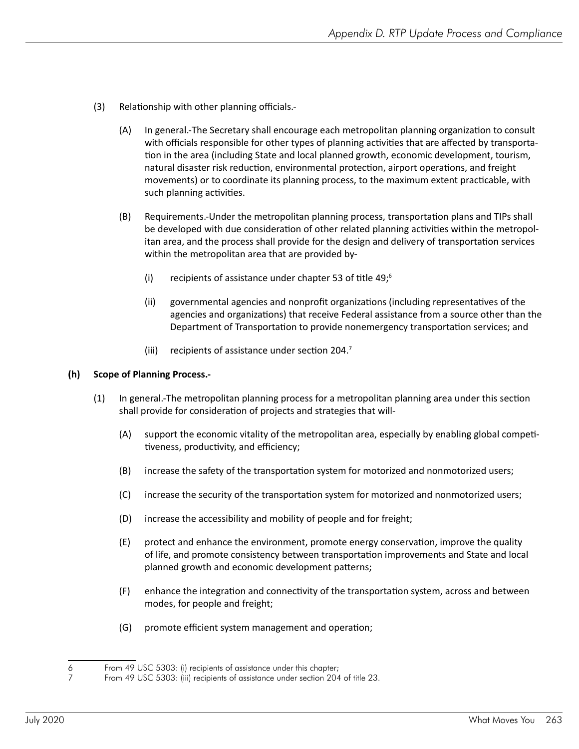- (3) Relationship with other planning officials.-
	- (A) In general.-The Secretary shall encourage each metropolitan planning organization to consult with officials responsible for other types of planning activities that are affected by transportation in the area (including State and local planned growth, economic development, tourism, natural disaster risk reduction, environmental protection, airport operations, and freight movements) or to coordinate its planning process, to the maximum extent practicable, with such planning activities.
	- (B) Requirements.-Under the metropolitan planning process, transportation plans and TIPs shall be developed with due consideration of other related planning activities within the metropolitan area, and the process shall provide for the design and delivery of transportation services within the metropolitan area that are provided by-
		- (i) recipients of assistance under chapter 53 of title  $49;^6$
		- (ii) governmental agencies and nonprofit organizations (including representatives of the agencies and organizations) that receive Federal assistance from a source other than the Department of Transportation to provide nonemergency transportation services; and
		- (iii) recipients of assistance under section 204.<sup>7</sup>

#### **(h) Scope of Planning Process.-**

- (1) In general.-The metropolitan planning process for a metropolitan planning area under this section shall provide for consideration of projects and strategies that will-
	- (A) support the economic vitality of the metropolitan area, especially by enabling global competitiveness, productivity, and efficiency;
	- (B) increase the safety of the transportation system for motorized and nonmotorized users;
	- (C) increase the security of the transportation system for motorized and nonmotorized users;
	- (D) increase the accessibility and mobility of people and for freight;
	- (E) protect and enhance the environment, promote energy conservation, improve the quality of life, and promote consistency between transportation improvements and State and local planned growth and economic development patterns;
	- (F) enhance the integration and connectivity of the transportation system, across and between modes, for people and freight;
	- (G) promote efficient system management and operation;

<sup>6</sup> From 49 USC 5303: (i) recipients of assistance under this chapter;

<sup>7</sup> From 49 USC 5303: (iii) recipients of assistance under section 204 of title 23.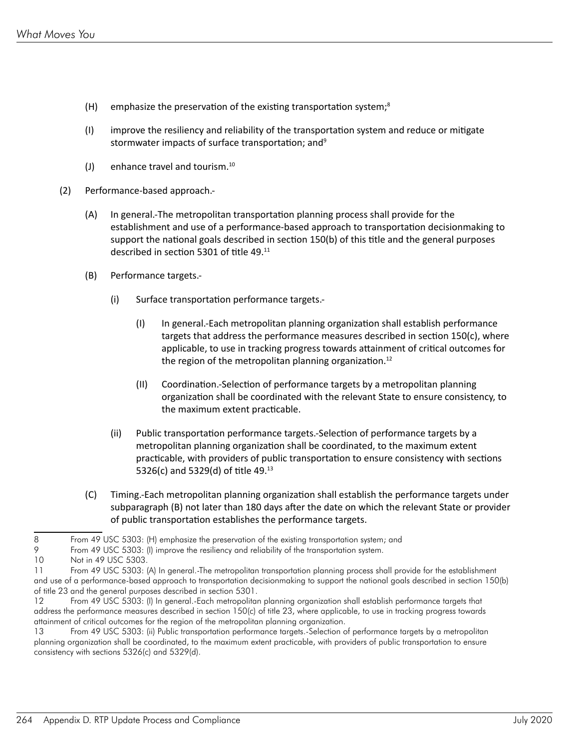- (H) emphasize the preservation of the existing transportation system; $^8$
- (I) improve the resiliency and reliability of the transportation system and reduce or mitigate stormwater impacts of surface transportation; and9
- (J) enhance travel and tourism. $10$
- (2) Performance-based approach.-
	- (A) In general.-The metropolitan transportation planning process shall provide for the establishment and use of a performance-based approach to transportation decisionmaking to support the national goals described in section 150(b) of this title and the general purposes described in section 5301 of title 49.<sup>11</sup>
	- (B) Performance targets.-
		- (i) Surface transportation performance targets.-
			- (I) In general.-Each metropolitan planning organization shall establish performance targets that address the performance measures described in section 150(c), where applicable, to use in tracking progress towards attainment of critical outcomes for the region of the metropolitan planning organization.<sup>12</sup>
			- (II) Coordination.-Selection of performance targets by a metropolitan planning organization shall be coordinated with the relevant State to ensure consistency, to the maximum extent practicable.
		- (ii) Public transportation performance targets.-Selection of performance targets by a metropolitan planning organization shall be coordinated, to the maximum extent practicable, with providers of public transportation to ensure consistency with sections 5326(c) and 5329(d) of title 49.<sup>13</sup>
	- (C) Timing.-Each metropolitan planning organization shall establish the performance targets under subparagraph (B) not later than 180 days after the date on which the relevant State or provider of public transportation establishes the performance targets.

13 From 49 USC 5303: (ii) Public transportation performance targets.-Selection of performance targets by a metropolitan planning organization shall be coordinated, to the maximum extent practicable, with providers of public transportation to ensure consistency with sections 5326(c) and 5329(d).

<sup>8</sup> From 49 USC 5303: (H) emphasize the preservation of the existing transportation system; and

<sup>9</sup> From 49 USC 5303: (I) improve the resiliency and reliability of the transportation system.

<sup>10</sup> Not in 49 USC 5303.

<sup>11</sup> From 49 USC 5303: (A) In general.-The metropolitan transportation planning process shall provide for the establishment and use of a performance-based approach to transportation decisionmaking to support the national goals described in section 150(b) of title 23 and the general purposes described in section 5301.

<sup>12</sup> From 49 USC 5303: (I) In general.-Each metropolitan planning organization shall establish performance targets that address the performance measures described in section 150(c) of title 23, where applicable, to use in tracking progress towards attainment of critical outcomes for the region of the metropolitan planning organization.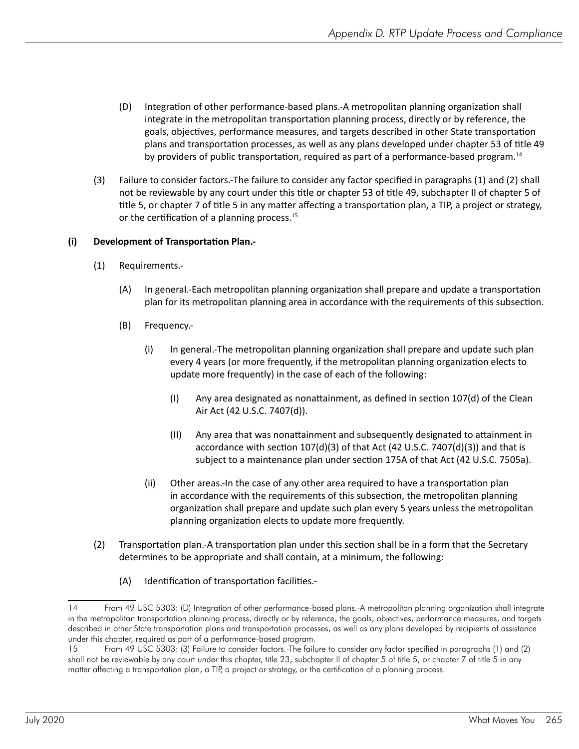- (D) Integration of other performance-based plans.-A metropolitan planning organization shall integrate in the metropolitan transportation planning process, directly or by reference, the goals, objectives, performance measures, and targets described in other State transportation plans and transportation processes, as well as any plans developed under chapter 53 of title 49 by providers of public transportation, required as part of a performance-based program.<sup>14</sup>
- (3) Failure to consider factors.-The failure to consider any factor specified in paragraphs (1) and (2) shall not be reviewable by any court under this title or chapter 53 of title 49, subchapter II of chapter 5 of title 5, or chapter 7 of title 5 in any matter affecting a transportation plan, a TIP, a project or strategy, or the certification of a planning process.<sup>15</sup>

#### **(i) Development of Transportation Plan.-**

- (1) Requirements.-
	- (A) In general.-Each metropolitan planning organization shall prepare and update a transportation plan for its metropolitan planning area in accordance with the requirements of this subsection.
	- (B) Frequency.-
		- (i) In general.-The metropolitan planning organization shall prepare and update such plan every 4 years (or more frequently, if the metropolitan planning organization elects to update more frequently) in the case of each of the following:
			- (I) Any area designated as nonattainment, as defined in section  $107(d)$  of the Clean Air Act (42 U.S.C. 7407(d)).
			- (II) Any area that was nonattainment and subsequently designated to attainment in accordance with section 107(d)(3) of that Act (42 U.S.C. 7407(d)(3)) and that is subject to a maintenance plan under section 175A of that Act (42 U.S.C. 7505a).
		- (ii) Other areas.-In the case of any other area required to have a transportation plan in accordance with the requirements of this subsection, the metropolitan planning organization shall prepare and update such plan every 5 years unless the metropolitan planning organization elects to update more frequently.
- (2) Transportation plan.-A transportation plan under this section shall be in a form that the Secretary determines to be appropriate and shall contain, at a minimum, the following:
	- (A) Identification of transportation facilities.-

<sup>14</sup> From 49 USC 5303: (D) Integration of other performance-based plans.-A metropolitan planning organization shall integrate in the metropolitan transportation planning process, directly or by reference, the goals, objectives, performance measures, and targets described in other State transportation plans and transportation processes, as well as any plans developed by recipients of assistance under this chapter, required as part of a performance-based program.

<sup>15</sup> From 49 USC 5303: (3) Failure to consider factors.-The failure to consider any factor specified in paragraphs (1) and (2) shall not be reviewable by any court under this chapter, title 23, subchapter II of chapter 5 of title 5, or chapter 7 of title 5 in any matter affecting a transportation plan, a TIP, a project or strategy, or the certification of a planning process.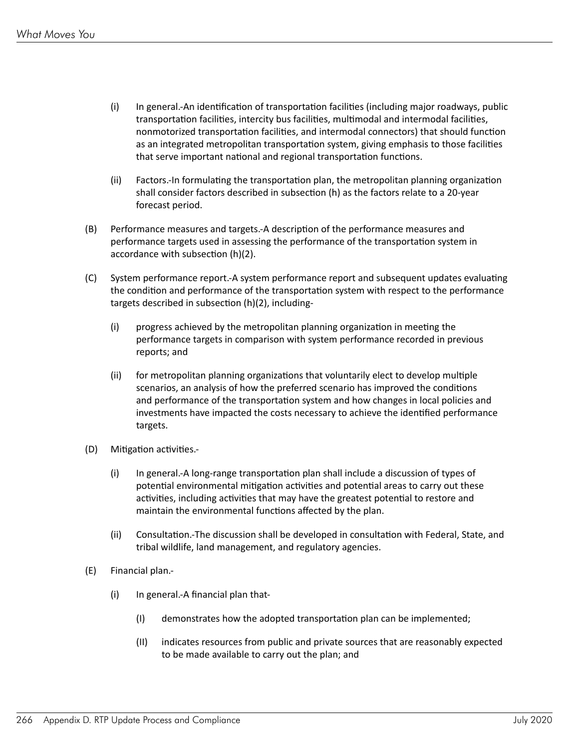- (i) In general.-An identification of transportation facilities (including major roadways, public transportation facilities, intercity bus facilities, multimodal and intermodal facilities, nonmotorized transportation facilities, and intermodal connectors) that should function as an integrated metropolitan transportation system, giving emphasis to those facilities that serve important national and regional transportation functions.
- (ii) Factors.-In formulating the transportation plan, the metropolitan planning organization shall consider factors described in subsection (h) as the factors relate to a 20-year forecast period.
- (B) Performance measures and targets.-A description of the performance measures and performance targets used in assessing the performance of the transportation system in accordance with subsection (h)(2).
- (C) System performance report.-A system performance report and subsequent updates evaluating the condition and performance of the transportation system with respect to the performance targets described in subsection (h)(2), including-
	- (i) progress achieved by the metropolitan planning organization in meeting the performance targets in comparison with system performance recorded in previous reports; and
	- (ii) for metropolitan planning organizations that voluntarily elect to develop multiple scenarios, an analysis of how the preferred scenario has improved the conditions and performance of the transportation system and how changes in local policies and investments have impacted the costs necessary to achieve the identified performance targets.
- (D) Mitigation activities.-
	- (i) In general.-A long-range transportation plan shall include a discussion of types of potential environmental mitigation activities and potential areas to carry out these activities, including activities that may have the greatest potential to restore and maintain the environmental functions affected by the plan.
	- (ii) Consultation.-The discussion shall be developed in consultation with Federal, State, and tribal wildlife, land management, and regulatory agencies.
- (E) Financial plan.-
	- (i) In general.-A financial plan that-
		- (I) demonstrates how the adopted transportation plan can be implemented;
		- (II) indicates resources from public and private sources that are reasonably expected to be made available to carry out the plan; and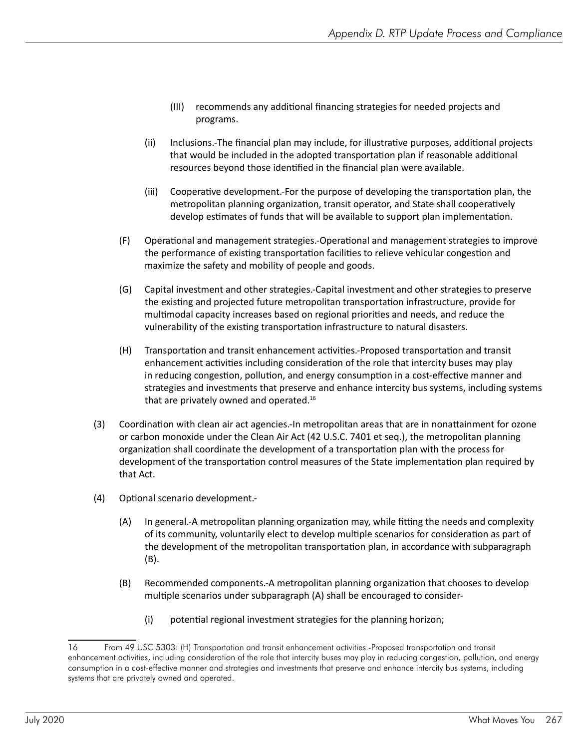- (III) recommends any additional financing strategies for needed projects and programs.
- (ii) Inclusions.-The financial plan may include, for illustrative purposes, additional projects that would be included in the adopted transportation plan if reasonable additional resources beyond those identified in the financial plan were available.
- (iii) Cooperative development.-For the purpose of developing the transportation plan, the metropolitan planning organization, transit operator, and State shall cooperatively develop estimates of funds that will be available to support plan implementation.
- (F) Operational and management strategies.-Operational and management strategies to improve the performance of existing transportation facilities to relieve vehicular congestion and maximize the safety and mobility of people and goods.
- (G) Capital investment and other strategies.-Capital investment and other strategies to preserve the existing and projected future metropolitan transportation infrastructure, provide for multimodal capacity increases based on regional priorities and needs, and reduce the vulnerability of the existing transportation infrastructure to natural disasters.
- (H) Transportation and transit enhancement activities.-Proposed transportation and transit enhancement activities including consideration of the role that intercity buses may play in reducing congestion, pollution, and energy consumption in a cost-effective manner and strategies and investments that preserve and enhance intercity bus systems, including systems that are privately owned and operated.<sup>16</sup>
- (3) Coordination with clean air act agencies.-In metropolitan areas that are in nonattainment for ozone or carbon monoxide under the Clean Air Act (42 U.S.C. 7401 et seq.), the metropolitan planning organization shall coordinate the development of a transportation plan with the process for development of the transportation control measures of the State implementation plan required by that Act.
- (4) Optional scenario development.-
	- (A) In general.-A metropolitan planning organization may, while fitting the needs and complexity of its community, voluntarily elect to develop multiple scenarios for consideration as part of the development of the metropolitan transportation plan, in accordance with subparagraph (B).
	- (B) Recommended components.-A metropolitan planning organization that chooses to develop multiple scenarios under subparagraph (A) shall be encouraged to consider-
		- (i) potential regional investment strategies for the planning horizon;

<sup>16</sup> From 49 USC 5303: (H) Transportation and transit enhancement activities.-Proposed transportation and transit enhancement activities, including consideration of the role that intercity buses may play in reducing congestion, pollution, and energy consumption in a cost-effective manner and strategies and investments that preserve and enhance intercity bus systems, including systems that are privately owned and operated.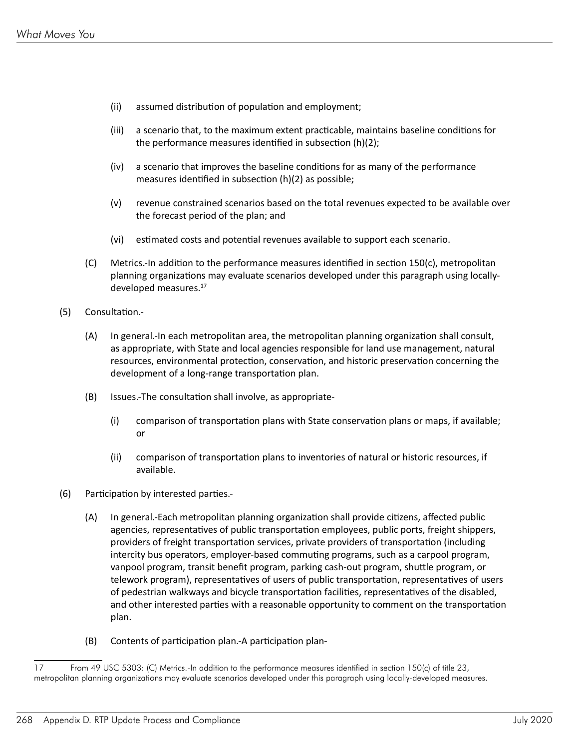- (ii) assumed distribution of population and employment;
- (iii) a scenario that, to the maximum extent practicable, maintains baseline conditions for the performance measures identified in subsection (h)(2);
- $(iv)$  a scenario that improves the baseline conditions for as many of the performance measures identified in subsection (h)(2) as possible;
- (v) revenue constrained scenarios based on the total revenues expected to be available over the forecast period of the plan; and
- (vi) estimated costs and potential revenues available to support each scenario.
- (C) Metrics.-In addition to the performance measures identified in section 150(c), metropolitan planning organizations may evaluate scenarios developed under this paragraph using locallydeveloped measures.<sup>17</sup>
- (5) Consultation.-
	- (A) In general.-In each metropolitan area, the metropolitan planning organization shall consult, as appropriate, with State and local agencies responsible for land use management, natural resources, environmental protection, conservation, and historic preservation concerning the development of a long-range transportation plan.
	- (B) Issues.-The consultation shall involve, as appropriate-
		- (i) comparison of transportation plans with State conservation plans or maps, if available; or
		- (ii) comparison of transportation plans to inventories of natural or historic resources, if available.
- (6) Participation by interested parties.-
	- (A) In general.-Each metropolitan planning organization shall provide citizens, affected public agencies, representatives of public transportation employees, public ports, freight shippers, providers of freight transportation services, private providers of transportation (including intercity bus operators, employer-based commuting programs, such as a carpool program, vanpool program, transit benefit program, parking cash-out program, shuttle program, or telework program), representatives of users of public transportation, representatives of users of pedestrian walkways and bicycle transportation facilities, representatives of the disabled, and other interested parties with a reasonable opportunity to comment on the transportation plan.
	- (B) Contents of participation plan.-A participation plan-

<sup>17</sup> From 49 USC 5303: (C) Metrics.-In addition to the performance measures identified in section 150(c) of title 23, metropolitan planning organizations may evaluate scenarios developed under this paragraph using locally-developed measures.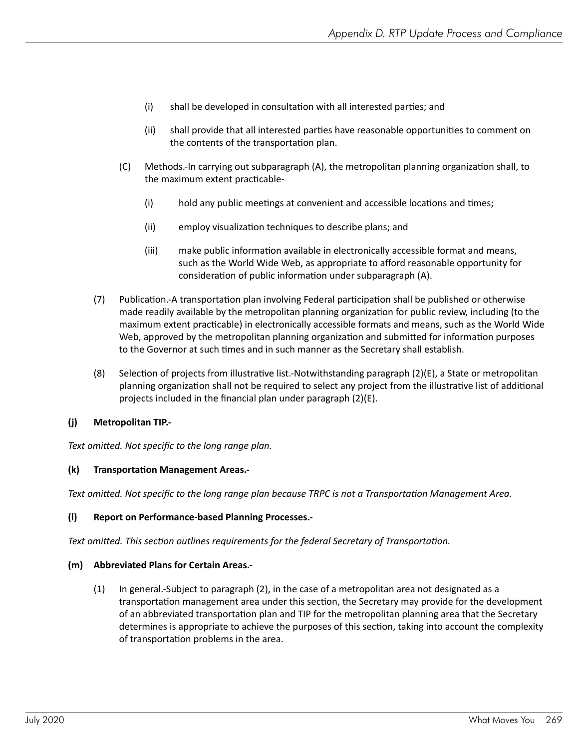- (i) shall be developed in consultation with all interested parties; and
- (ii) shall provide that all interested parties have reasonable opportunities to comment on the contents of the transportation plan.
- (C) Methods.-In carrying out subparagraph (A), the metropolitan planning organization shall, to the maximum extent practicable-
	- (i) hold any public meetings at convenient and accessible locations and times;
	- (ii) employ visualization techniques to describe plans; and
	- (iii) make public information available in electronically accessible format and means, such as the World Wide Web, as appropriate to afford reasonable opportunity for consideration of public information under subparagraph (A).
- (7) Publication.-A transportation plan involving Federal participation shall be published or otherwise made readily available by the metropolitan planning organization for public review, including (to the maximum extent practicable) in electronically accessible formats and means, such as the World Wide Web, approved by the metropolitan planning organization and submitted for information purposes to the Governor at such times and in such manner as the Secretary shall establish.
- (8) Selection of projects from illustrative list.-Notwithstanding paragraph (2)(E), a State or metropolitan planning organization shall not be required to select any project from the illustrative list of additional projects included in the financial plan under paragraph (2)(E).

#### **(j) Metropolitan TIP.-**

*Text omitted. Not specific to the long range plan.*

#### **(k) Transportation Management Areas.-**

*Text omitted. Not specific to the long range plan because TRPC is not a Transportation Management Area.*

#### **(l) Report on Performance-based Planning Processes.-**

*Text omitted. This section outlines requirements for the federal Secretary of Transportation.*

#### **(m) Abbreviated Plans for Certain Areas.-**

(1) In general.-Subject to paragraph (2), in the case of a metropolitan area not designated as a transportation management area under this section, the Secretary may provide for the development of an abbreviated transportation plan and TIP for the metropolitan planning area that the Secretary determines is appropriate to achieve the purposes of this section, taking into account the complexity of transportation problems in the area.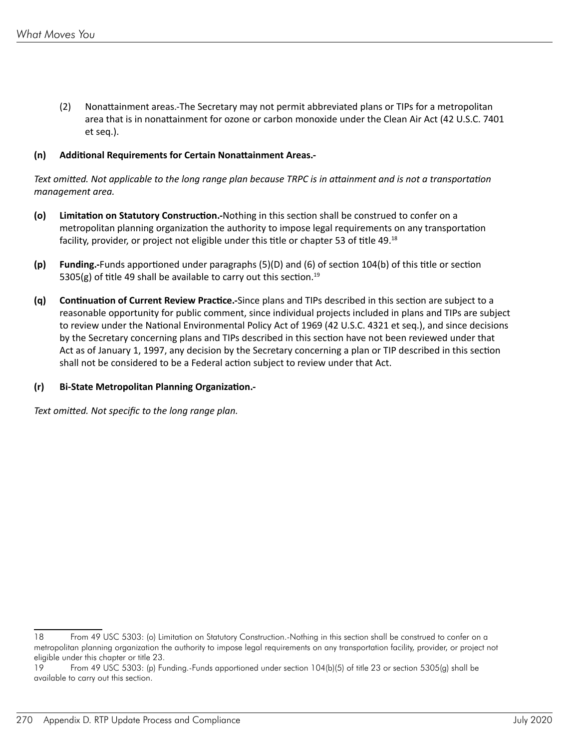(2) Nonattainment areas.-The Secretary may not permit abbreviated plans or TIPs for a metropolitan area that is in nonattainment for ozone or carbon monoxide under the Clean Air Act (42 U.S.C. 7401 et seq.).

#### **(n) Additional Requirements for Certain Nonattainment Areas.-**

*Text omitted. Not applicable to the long range plan because TRPC is in attainment and is not a transportation management area.*

- **(o) Limitation on Statutory Construction.-**Nothing in this section shall be construed to confer on a metropolitan planning organization the authority to impose legal requirements on any transportation facility, provider, or project not eligible under this title or chapter 53 of title 49.<sup>18</sup>
- **(p) Funding.-**Funds apportioned under paragraphs (5)(D) and (6) of section 104(b) of this title or section 5305(g) of title 49 shall be available to carry out this section.<sup>19</sup>
- **(q) Continuation of Current Review Practice.-**Since plans and TIPs described in this section are subject to a reasonable opportunity for public comment, since individual projects included in plans and TIPs are subject to review under the National Environmental Policy Act of 1969 (42 U.S.C. 4321 et seq.), and since decisions by the Secretary concerning plans and TIPs described in this section have not been reviewed under that Act as of January 1, 1997, any decision by the Secretary concerning a plan or TIP described in this section shall not be considered to be a Federal action subject to review under that Act.

#### **(r) Bi-State Metropolitan Planning Organization.-**

*Text omitted. Not specific to the long range plan.*

<sup>18</sup> From 49 USC 5303: (o) Limitation on Statutory Construction.-Nothing in this section shall be construed to confer on a metropolitan planning organization the authority to impose legal requirements on any transportation facility, provider, or project not eligible under this chapter or title 23.

<sup>19</sup> From 49 USC 5303: (p) Funding.-Funds apportioned under section 104(b)(5) of title 23 or section 5305(g) shall be available to carry out this section.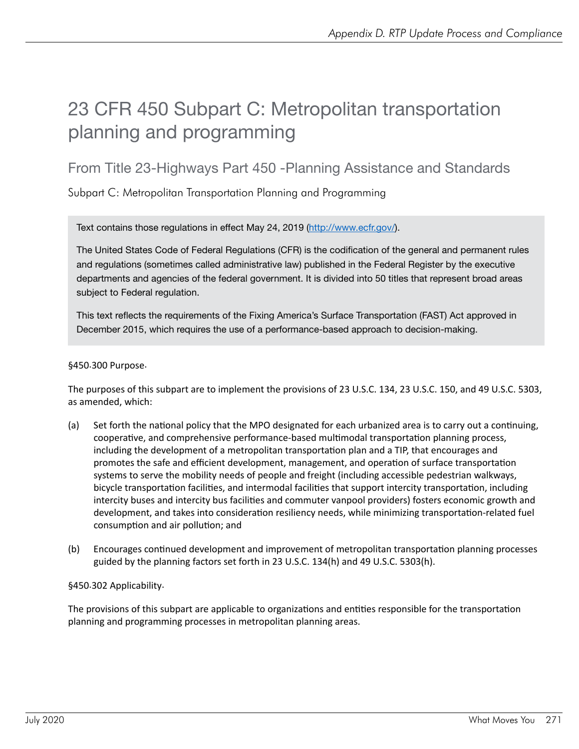### 23 CFR 450 Subpart C: Metropolitan transportation planning and programming

### From Title 23-Highways Part 450 -Planning Assistance and Standards

Subpart C: Metropolitan Transportation Planning and Programming

Text contains those regulations in effect May 24, 2019 ([http://www.ecfr.gov/\)](http://www.ecfr.gov/).

The United States Code of Federal Regulations (CFR) is the codification of the general and permanent rules and regulations (sometimes called administrative law) published in the Federal Register by the executive departments and agencies of the federal government. It is divided into 50 titles that represent broad areas subject to Federal regulation.

This text reflects the requirements of the Fixing America's Surface Transportation (FAST) Act approved in December 2015, which requires the use of a performance-based approach to decision-making.

#### §450.300 Purpose.

The purposes of this subpart are to implement the provisions of 23 U.S.C. 134, 23 U.S.C. 150, and 49 U.S.C. 5303, as amended, which:

- (a) Set forth the national policy that the MPO designated for each urbanized area is to carry out a continuing, cooperative, and comprehensive performance-based multimodal transportation planning process, including the development of a metropolitan transportation plan and a TIP, that encourages and promotes the safe and efficient development, management, and operation of surface transportation systems to serve the mobility needs of people and freight (including accessible pedestrian walkways, bicycle transportation facilities, and intermodal facilities that support intercity transportation, including intercity buses and intercity bus facilities and commuter vanpool providers) fosters economic growth and development, and takes into consideration resiliency needs, while minimizing transportation-related fuel consumption and air pollution; and
- (b) Encourages continued development and improvement of metropolitan transportation planning processes guided by the planning factors set forth in 23 U.S.C. 134(h) and 49 U.S.C. 5303(h).

#### §450.302 Applicability.

The provisions of this subpart are applicable to organizations and entities responsible for the transportation planning and programming processes in metropolitan planning areas.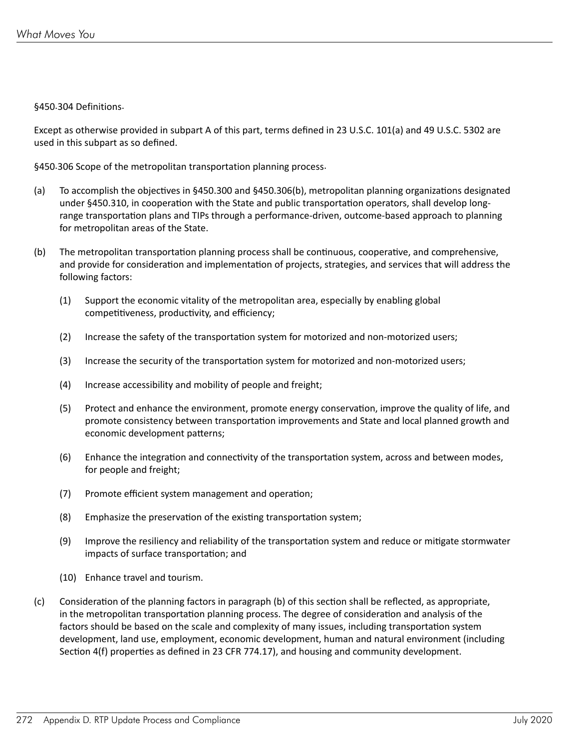#### §450.304 Definitions.

Except as otherwise provided in subpart A of this part, terms defined in 23 U.S.C. 101(a) and 49 U.S.C. 5302 are used in this subpart as so defined.

§450.306 Scope of the metropolitan transportation planning process.

- (a) To accomplish the objectives in §450.300 and §450.306(b), metropolitan planning organizations designated under §450.310, in cooperation with the State and public transportation operators, shall develop longrange transportation plans and TIPs through a performance-driven, outcome-based approach to planning for metropolitan areas of the State.
- (b) The metropolitan transportation planning process shall be continuous, cooperative, and comprehensive, and provide for consideration and implementation of projects, strategies, and services that will address the following factors:
	- (1) Support the economic vitality of the metropolitan area, especially by enabling global competitiveness, productivity, and efficiency;
	- (2) Increase the safety of the transportation system for motorized and non-motorized users;
	- (3) Increase the security of the transportation system for motorized and non-motorized users;
	- (4) Increase accessibility and mobility of people and freight;
	- (5) Protect and enhance the environment, promote energy conservation, improve the quality of life, and promote consistency between transportation improvements and State and local planned growth and economic development patterns;
	- (6) Enhance the integration and connectivity of the transportation system, across and between modes, for people and freight;
	- (7) Promote efficient system management and operation;
	- (8) Emphasize the preservation of the existing transportation system;
	- (9) Improve the resiliency and reliability of the transportation system and reduce or mitigate stormwater impacts of surface transportation; and
	- (10) Enhance travel and tourism.
- (c) Consideration of the planning factors in paragraph (b) of this section shall be reflected, as appropriate, in the metropolitan transportation planning process. The degree of consideration and analysis of the factors should be based on the scale and complexity of many issues, including transportation system development, land use, employment, economic development, human and natural environment (including Section 4(f) properties as defined in 23 CFR 774.17), and housing and community development.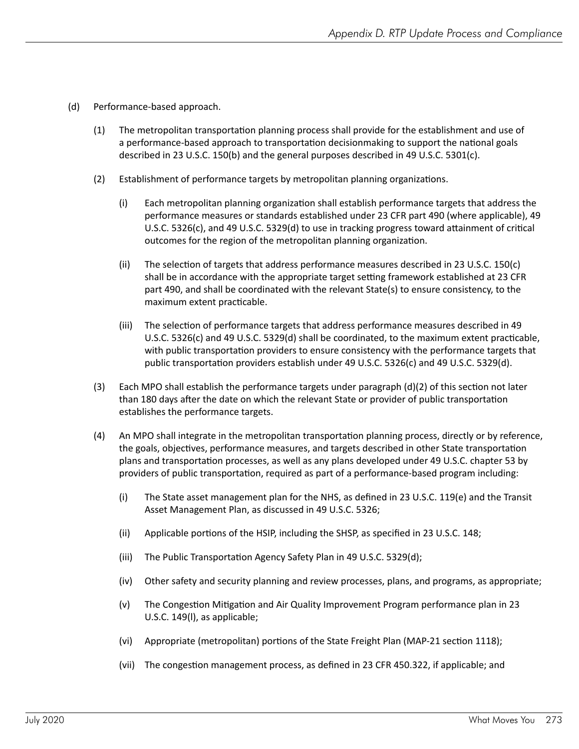- (d) Performance-based approach.
	- (1) The metropolitan transportation planning process shall provide for the establishment and use of a performance-based approach to transportation decisionmaking to support the national goals described in 23 U.S.C. 150(b) and the general purposes described in 49 U.S.C. 5301(c).
	- (2) Establishment of performance targets by metropolitan planning organizations.
		- (i) Each metropolitan planning organization shall establish performance targets that address the performance measures or standards established under 23 CFR part 490 (where applicable), 49 U.S.C. 5326(c), and 49 U.S.C. 5329(d) to use in tracking progress toward attainment of critical outcomes for the region of the metropolitan planning organization.
		- (ii) The selection of targets that address performance measures described in 23 U.S.C. 150 $(c)$ shall be in accordance with the appropriate target setting framework established at 23 CFR part 490, and shall be coordinated with the relevant State(s) to ensure consistency, to the maximum extent practicable.
		- (iii) The selection of performance targets that address performance measures described in 49 U.S.C. 5326(c) and 49 U.S.C. 5329(d) shall be coordinated, to the maximum extent practicable, with public transportation providers to ensure consistency with the performance targets that public transportation providers establish under 49 U.S.C. 5326(c) and 49 U.S.C. 5329(d).
	- (3) Each MPO shall establish the performance targets under paragraph  $(d)(2)$  of this section not later than 180 days after the date on which the relevant State or provider of public transportation establishes the performance targets.
	- (4) An MPO shall integrate in the metropolitan transportation planning process, directly or by reference, the goals, objectives, performance measures, and targets described in other State transportation plans and transportation processes, as well as any plans developed under 49 U.S.C. chapter 53 by providers of public transportation, required as part of a performance-based program including:
		- (i) The State asset management plan for the NHS, as defined in 23 U.S.C. 119(e) and the Transit Asset Management Plan, as discussed in 49 U.S.C. 5326;
		- (ii) Applicable portions of the HSIP, including the SHSP, as specified in 23 U.S.C. 148;
		- (iii) The Public Transportation Agency Safety Plan in 49 U.S.C. 5329(d);
		- (iv) Other safety and security planning and review processes, plans, and programs, as appropriate;
		- (v) The Congestion Mitigation and Air Quality Improvement Program performance plan in 23 U.S.C. 149(l), as applicable;
		- (vi) Appropriate (metropolitan) portions of the State Freight Plan (MAP-21 section 1118);
		- (vii) The congestion management process, as defined in 23 CFR 450.322, if applicable; and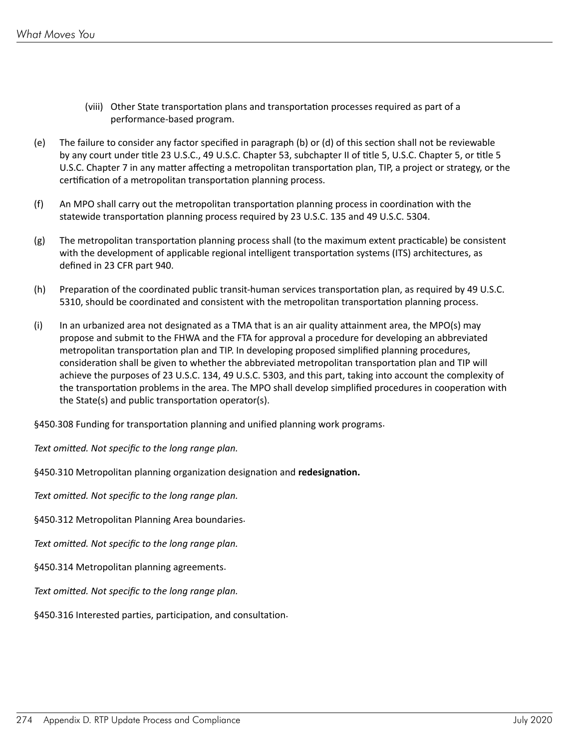- (viii) Other State transportation plans and transportation processes required as part of a performance-based program.
- (e) The failure to consider any factor specified in paragraph (b) or (d) of this section shall not be reviewable by any court under title 23 U.S.C., 49 U.S.C. Chapter 53, subchapter II of title 5, U.S.C. Chapter 5, or title 5 U.S.C. Chapter 7 in any matter affecting a metropolitan transportation plan, TIP, a project or strategy, or the certification of a metropolitan transportation planning process.
- (f) An MPO shall carry out the metropolitan transportation planning process in coordination with the statewide transportation planning process required by 23 U.S.C. 135 and 49 U.S.C. 5304.
- $(g)$  The metropolitan transportation planning process shall (to the maximum extent practicable) be consistent with the development of applicable regional intelligent transportation systems (ITS) architectures, as defined in 23 CFR part 940.
- (h) Preparation of the coordinated public transit-human services transportation plan, as required by 49 U.S.C. 5310, should be coordinated and consistent with the metropolitan transportation planning process.
- (i) In an urbanized area not designated as a TMA that is an air quality attainment area, the MPO(s) may propose and submit to the FHWA and the FTA for approval a procedure for developing an abbreviated metropolitan transportation plan and TIP. In developing proposed simplified planning procedures, consideration shall be given to whether the abbreviated metropolitan transportation plan and TIP will achieve the purposes of 23 U.S.C. 134, 49 U.S.C. 5303, and this part, taking into account the complexity of the transportation problems in the area. The MPO shall develop simplified procedures in cooperation with the State(s) and public transportation operator(s).

§450.308 Funding for transportation planning and unified planning work programs.

*Text omitted. Not specific to the long range plan.*

§450.310 Metropolitan planning organization designation and **redesignation.**

*Text omitted. Not specific to the long range plan.*

§450.312 Metropolitan Planning Area boundaries.

*Text omitted. Not specific to the long range plan.*

§450.314 Metropolitan planning agreements.

*Text omitted. Not specific to the long range plan.*

§450.316 Interested parties, participation, and consultation.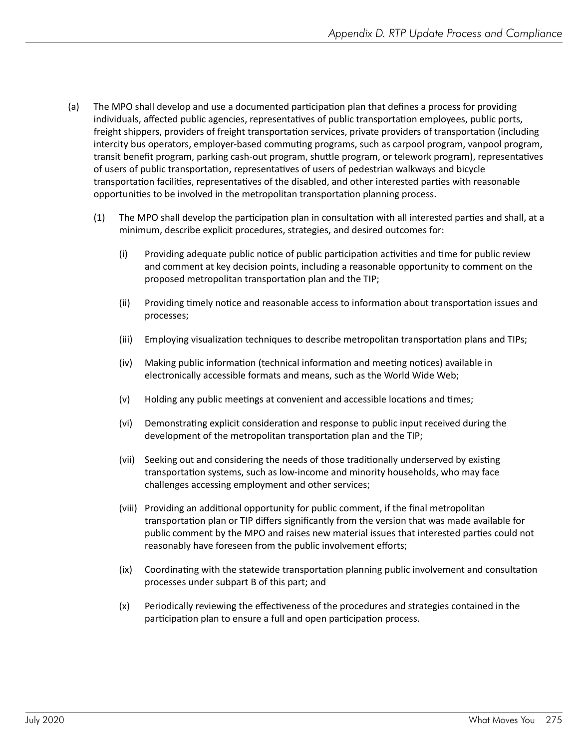- (a) The MPO shall develop and use a documented participation plan that defines a process for providing individuals, affected public agencies, representatives of public transportation employees, public ports, freight shippers, providers of freight transportation services, private providers of transportation (including intercity bus operators, employer-based commuting programs, such as carpool program, vanpool program, transit benefit program, parking cash-out program, shuttle program, or telework program), representatives of users of public transportation, representatives of users of pedestrian walkways and bicycle transportation facilities, representatives of the disabled, and other interested parties with reasonable opportunities to be involved in the metropolitan transportation planning process.
	- (1) The MPO shall develop the participation plan in consultation with all interested parties and shall, at a minimum, describe explicit procedures, strategies, and desired outcomes for:
		- (i) Providing adequate public notice of public participation activities and time for public review and comment at key decision points, including a reasonable opportunity to comment on the proposed metropolitan transportation plan and the TIP;
		- (ii) Providing timely notice and reasonable access to information about transportation issues and processes;
		- (iii) Employing visualization techniques to describe metropolitan transportation plans and TIPs;
		- (iv) Making public information (technical information and meeting notices) available in electronically accessible formats and means, such as the World Wide Web;
		- (v) Holding any public meetings at convenient and accessible locations and times;
		- (vi) Demonstrating explicit consideration and response to public input received during the development of the metropolitan transportation plan and the TIP;
		- (vii) Seeking out and considering the needs of those traditionally underserved by existing transportation systems, such as low-income and minority households, who may face challenges accessing employment and other services;
		- (viii) Providing an additional opportunity for public comment, if the final metropolitan transportation plan or TIP differs significantly from the version that was made available for public comment by the MPO and raises new material issues that interested parties could not reasonably have foreseen from the public involvement efforts;
		- (ix) Coordinating with the statewide transportation planning public involvement and consultation processes under subpart B of this part; and
		- (x) Periodically reviewing the effectiveness of the procedures and strategies contained in the participation plan to ensure a full and open participation process.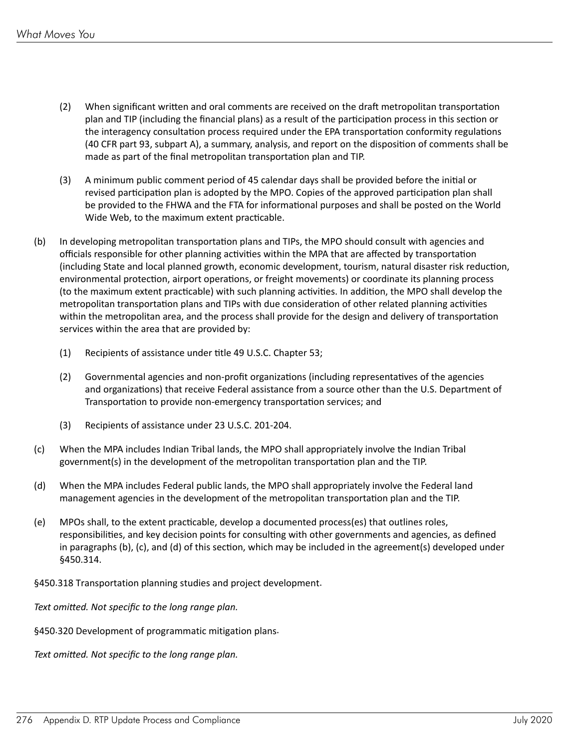- (2) When significant written and oral comments are received on the draft metropolitan transportation plan and TIP (including the financial plans) as a result of the participation process in this section or the interagency consultation process required under the EPA transportation conformity regulations (40 CFR part 93, subpart A), a summary, analysis, and report on the disposition of comments shall be made as part of the final metropolitan transportation plan and TIP.
- (3) A minimum public comment period of 45 calendar days shall be provided before the initial or revised participation plan is adopted by the MPO. Copies of the approved participation plan shall be provided to the FHWA and the FTA for informational purposes and shall be posted on the World Wide Web, to the maximum extent practicable.
- (b) In developing metropolitan transportation plans and TIPs, the MPO should consult with agencies and officials responsible for other planning activities within the MPA that are affected by transportation (including State and local planned growth, economic development, tourism, natural disaster risk reduction, environmental protection, airport operations, or freight movements) or coordinate its planning process (to the maximum extent practicable) with such planning activities. In addition, the MPO shall develop the metropolitan transportation plans and TIPs with due consideration of other related planning activities within the metropolitan area, and the process shall provide for the design and delivery of transportation services within the area that are provided by:
	- (1) Recipients of assistance under title 49 U.S.C. Chapter 53;
	- (2) Governmental agencies and non-profit organizations (including representatives of the agencies and organizations) that receive Federal assistance from a source other than the U.S. Department of Transportation to provide non-emergency transportation services; and
	- (3) Recipients of assistance under 23 U.S.C. 201-204.
- (c) When the MPA includes Indian Tribal lands, the MPO shall appropriately involve the Indian Tribal government(s) in the development of the metropolitan transportation plan and the TIP.
- (d) When the MPA includes Federal public lands, the MPO shall appropriately involve the Federal land management agencies in the development of the metropolitan transportation plan and the TIP.
- (e) MPOs shall, to the extent practicable, develop a documented process(es) that outlines roles, responsibilities, and key decision points for consulting with other governments and agencies, as defined in paragraphs (b), (c), and (d) of this section, which may be included in the agreement(s) developed under §450.314.

§450.318 Transportation planning studies and project development.

*Text omitted. Not specific to the long range plan.*

§450.320 Development of programmatic mitigation plans.

*Text omitted. Not specific to the long range plan.*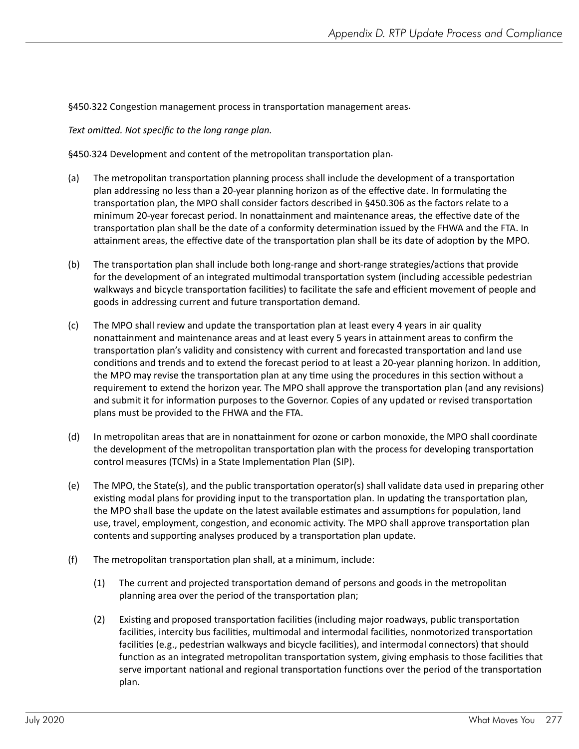#### §450.322 Congestion management process in transportation management areas.

*Text omitted. Not specific to the long range plan.*

§450.324 Development and content of the metropolitan transportation plan.

- (a) The metropolitan transportation planning process shall include the development of a transportation plan addressing no less than a 20-year planning horizon as of the effective date. In formulating the transportation plan, the MPO shall consider factors described in §450.306 as the factors relate to a minimum 20-year forecast period. In nonattainment and maintenance areas, the effective date of the transportation plan shall be the date of a conformity determination issued by the FHWA and the FTA. In attainment areas, the effective date of the transportation plan shall be its date of adoption by the MPO.
- (b) The transportation plan shall include both long-range and short-range strategies/actions that provide for the development of an integrated multimodal transportation system (including accessible pedestrian walkways and bicycle transportation facilities) to facilitate the safe and efficient movement of people and goods in addressing current and future transportation demand.
- (c) The MPO shall review and update the transportation plan at least every 4 years in air quality nonattainment and maintenance areas and at least every 5 years in attainment areas to confirm the transportation plan's validity and consistency with current and forecasted transportation and land use conditions and trends and to extend the forecast period to at least a 20-year planning horizon. In addition, the MPO may revise the transportation plan at any time using the procedures in this section without a requirement to extend the horizon year. The MPO shall approve the transportation plan (and any revisions) and submit it for information purposes to the Governor. Copies of any updated or revised transportation plans must be provided to the FHWA and the FTA.
- (d) In metropolitan areas that are in nonattainment for ozone or carbon monoxide, the MPO shall coordinate the development of the metropolitan transportation plan with the process for developing transportation control measures (TCMs) in a State Implementation Plan (SIP).
- (e) The MPO, the State(s), and the public transportation operator(s) shall validate data used in preparing other existing modal plans for providing input to the transportation plan. In updating the transportation plan, the MPO shall base the update on the latest available estimates and assumptions for population, land use, travel, employment, congestion, and economic activity. The MPO shall approve transportation plan contents and supporting analyses produced by a transportation plan update.
- $(f)$  The metropolitan transportation plan shall, at a minimum, include:
	- (1) The current and projected transportation demand of persons and goods in the metropolitan planning area over the period of the transportation plan;
	- (2) Existing and proposed transportation facilities (including major roadways, public transportation facilities, intercity bus facilities, multimodal and intermodal facilities, nonmotorized transportation facilities (e.g., pedestrian walkways and bicycle facilities), and intermodal connectors) that should function as an integrated metropolitan transportation system, giving emphasis to those facilities that serve important national and regional transportation functions over the period of the transportation plan.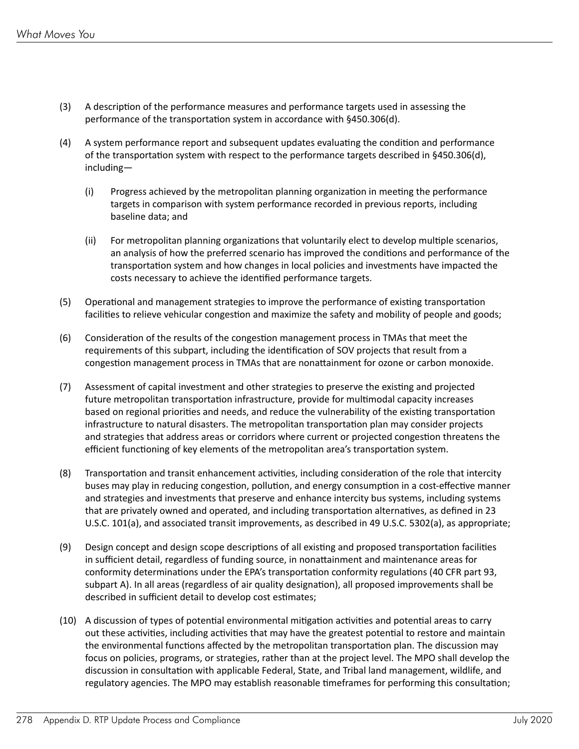- (3) A description of the performance measures and performance targets used in assessing the performance of the transportation system in accordance with §450.306(d).
- (4) A system performance report and subsequent updates evaluating the condition and performance of the transportation system with respect to the performance targets described in §450.306(d), including—
	- (i) Progress achieved by the metropolitan planning organization in meeting the performance targets in comparison with system performance recorded in previous reports, including baseline data; and
	- (ii) For metropolitan planning organizations that voluntarily elect to develop multiple scenarios, an analysis of how the preferred scenario has improved the conditions and performance of the transportation system and how changes in local policies and investments have impacted the costs necessary to achieve the identified performance targets.
- (5) Operational and management strategies to improve the performance of existing transportation facilities to relieve vehicular congestion and maximize the safety and mobility of people and goods;
- (6) Consideration of the results of the congestion management process in TMAs that meet the requirements of this subpart, including the identification of SOV projects that result from a congestion management process in TMAs that are nonattainment for ozone or carbon monoxide.
- (7) Assessment of capital investment and other strategies to preserve the existing and projected future metropolitan transportation infrastructure, provide for multimodal capacity increases based on regional priorities and needs, and reduce the vulnerability of the existing transportation infrastructure to natural disasters. The metropolitan transportation plan may consider projects and strategies that address areas or corridors where current or projected congestion threatens the efficient functioning of key elements of the metropolitan area's transportation system.
- (8) Transportation and transit enhancement activities, including consideration of the role that intercity buses may play in reducing congestion, pollution, and energy consumption in a cost-effective manner and strategies and investments that preserve and enhance intercity bus systems, including systems that are privately owned and operated, and including transportation alternatives, as defined in 23 U.S.C. 101(a), and associated transit improvements, as described in 49 U.S.C. 5302(a), as appropriate;
- (9) Design concept and design scope descriptions of all existing and proposed transportation facilities in sufficient detail, regardless of funding source, in nonattainment and maintenance areas for conformity determinations under the EPA's transportation conformity regulations (40 CFR part 93, subpart A). In all areas (regardless of air quality designation), all proposed improvements shall be described in sufficient detail to develop cost estimates;
- (10) A discussion of types of potential environmental mitigation activities and potential areas to carry out these activities, including activities that may have the greatest potential to restore and maintain the environmental functions affected by the metropolitan transportation plan. The discussion may focus on policies, programs, or strategies, rather than at the project level. The MPO shall develop the discussion in consultation with applicable Federal, State, and Tribal land management, wildlife, and regulatory agencies. The MPO may establish reasonable timeframes for performing this consultation;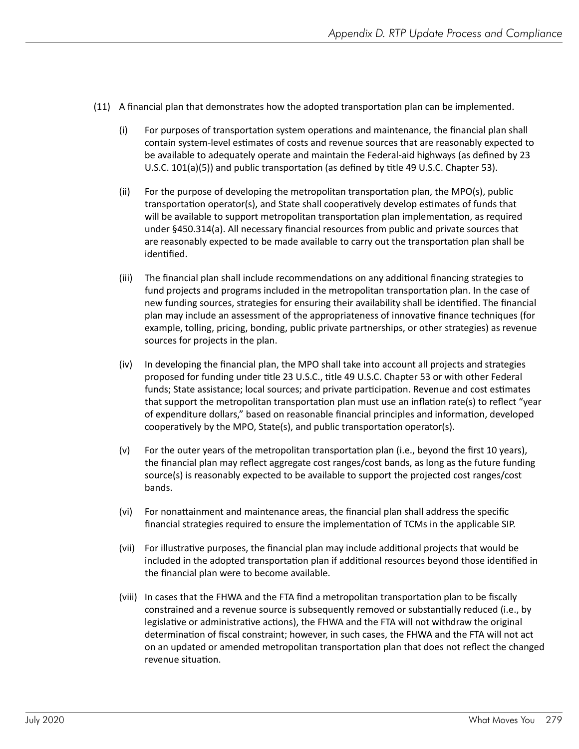- (11) A financial plan that demonstrates how the adopted transportation plan can be implemented.
	- (i) For purposes of transportation system operations and maintenance, the financial plan shall contain system-level estimates of costs and revenue sources that are reasonably expected to be available to adequately operate and maintain the Federal-aid highways (as defined by 23 U.S.C. 101(a)(5)) and public transportation (as defined by title 49 U.S.C. Chapter 53).
	- (ii) For the purpose of developing the metropolitan transportation plan, the MPO(s), public transportation operator(s), and State shall cooperatively develop estimates of funds that will be available to support metropolitan transportation plan implementation, as required under §450.314(a). All necessary financial resources from public and private sources that are reasonably expected to be made available to carry out the transportation plan shall be identified.
	- (iii) The financial plan shall include recommendations on any additional financing strategies to fund projects and programs included in the metropolitan transportation plan. In the case of new funding sources, strategies for ensuring their availability shall be identified. The financial plan may include an assessment of the appropriateness of innovative finance techniques (for example, tolling, pricing, bonding, public private partnerships, or other strategies) as revenue sources for projects in the plan.
	- (iv) In developing the financial plan, the MPO shall take into account all projects and strategies proposed for funding under title 23 U.S.C., title 49 U.S.C. Chapter 53 or with other Federal funds; State assistance; local sources; and private participation. Revenue and cost estimates that support the metropolitan transportation plan must use an inflation rate(s) to reflect "year of expenditure dollars," based on reasonable financial principles and information, developed cooperatively by the MPO, State(s), and public transportation operator(s).
	- (v) For the outer years of the metropolitan transportation plan (i.e., beyond the first 10 years), the financial plan may reflect aggregate cost ranges/cost bands, as long as the future funding source(s) is reasonably expected to be available to support the projected cost ranges/cost bands.
	- (vi) For nonattainment and maintenance areas, the financial plan shall address the specific financial strategies required to ensure the implementation of TCMs in the applicable SIP.
	- (vii) For illustrative purposes, the financial plan may include additional projects that would be included in the adopted transportation plan if additional resources beyond those identified in the financial plan were to become available.
	- (viii) In cases that the FHWA and the FTA find a metropolitan transportation plan to be fiscally constrained and a revenue source is subsequently removed or substantially reduced (i.e., by legislative or administrative actions), the FHWA and the FTA will not withdraw the original determination of fiscal constraint; however, in such cases, the FHWA and the FTA will not act on an updated or amended metropolitan transportation plan that does not reflect the changed revenue situation.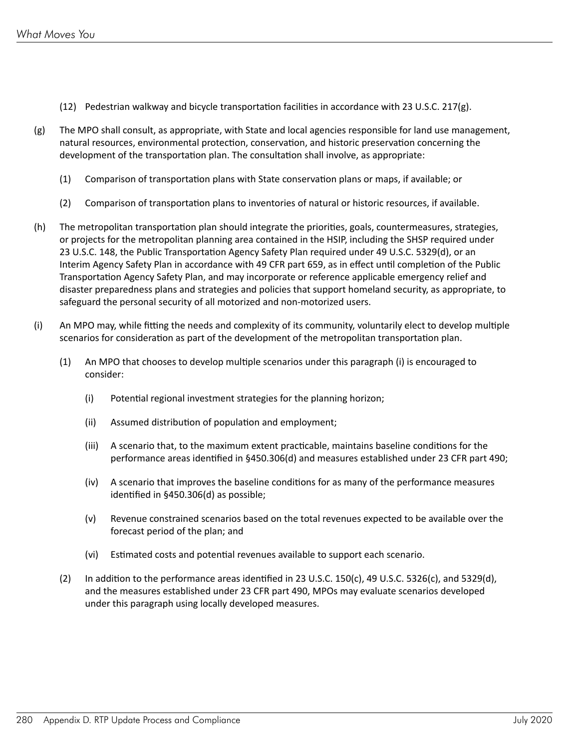- (12) Pedestrian walkway and bicycle transportation facilities in accordance with 23 U.S.C. 217(g).
- (g) The MPO shall consult, as appropriate, with State and local agencies responsible for land use management, natural resources, environmental protection, conservation, and historic preservation concerning the development of the transportation plan. The consultation shall involve, as appropriate:
	- (1) Comparison of transportation plans with State conservation plans or maps, if available; or
	- (2) Comparison of transportation plans to inventories of natural or historic resources, if available.
- (h) The metropolitan transportation plan should integrate the priorities, goals, countermeasures, strategies, or projects for the metropolitan planning area contained in the HSIP, including the SHSP required under 23 U.S.C. 148, the Public Transportation Agency Safety Plan required under 49 U.S.C. 5329(d), or an Interim Agency Safety Plan in accordance with 49 CFR part 659, as in effect until completion of the Public Transportation Agency Safety Plan, and may incorporate or reference applicable emergency relief and disaster preparedness plans and strategies and policies that support homeland security, as appropriate, to safeguard the personal security of all motorized and non-motorized users.
- (i) An MPO may, while fitting the needs and complexity of its community, voluntarily elect to develop multiple scenarios for consideration as part of the development of the metropolitan transportation plan.
	- (1) An MPO that chooses to develop multiple scenarios under this paragraph (i) is encouraged to consider:
		- (i) Potential regional investment strategies for the planning horizon;
		- (ii) Assumed distribution of population and employment;
		- (iii) A scenario that, to the maximum extent practicable, maintains baseline conditions for the performance areas identified in §450.306(d) and measures established under 23 CFR part 490;
		- (iv) A scenario that improves the baseline conditions for as many of the performance measures identified in §450.306(d) as possible;
		- (v) Revenue constrained scenarios based on the total revenues expected to be available over the forecast period of the plan; and
		- (vi) Estimated costs and potential revenues available to support each scenario.
	- (2) In addition to the performance areas identified in 23 U.S.C. 150(c), 49 U.S.C. 5326(c), and 5329(d), and the measures established under 23 CFR part 490, MPOs may evaluate scenarios developed under this paragraph using locally developed measures.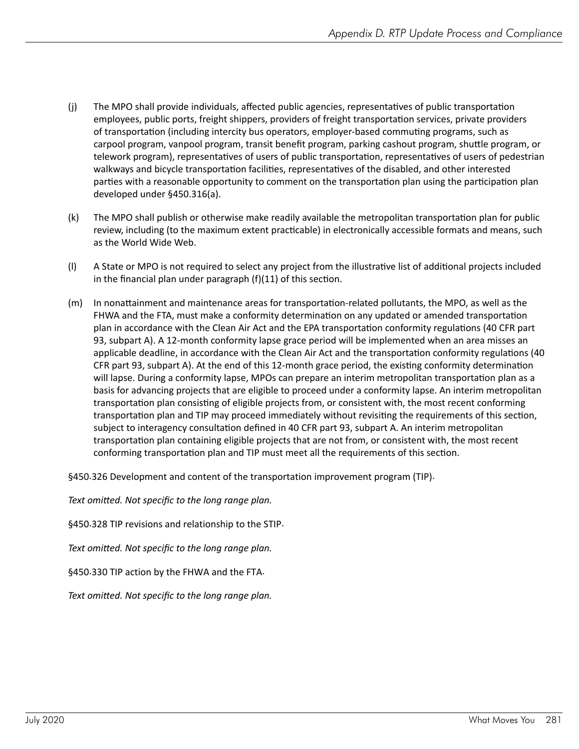- (j) The MPO shall provide individuals, affected public agencies, representatives of public transportation employees, public ports, freight shippers, providers of freight transportation services, private providers of transportation (including intercity bus operators, employer-based commuting programs, such as carpool program, vanpool program, transit benefit program, parking cashout program, shuttle program, or telework program), representatives of users of public transportation, representatives of users of pedestrian walkways and bicycle transportation facilities, representatives of the disabled, and other interested parties with a reasonable opportunity to comment on the transportation plan using the participation plan developed under §450.316(a).
- (k) The MPO shall publish or otherwise make readily available the metropolitan transportation plan for public review, including (to the maximum extent practicable) in electronically accessible formats and means, such as the World Wide Web.
- (l) A State or MPO is not required to select any project from the illustrative list of additional projects included in the financial plan under paragraph (f)(11) of this section.
- (m) In nonattainment and maintenance areas for transportation-related pollutants, the MPO, as well as the FHWA and the FTA, must make a conformity determination on any updated or amended transportation plan in accordance with the Clean Air Act and the EPA transportation conformity regulations (40 CFR part 93, subpart A). A 12-month conformity lapse grace period will be implemented when an area misses an applicable deadline, in accordance with the Clean Air Act and the transportation conformity regulations (40 CFR part 93, subpart A). At the end of this 12-month grace period, the existing conformity determination will lapse. During a conformity lapse, MPOs can prepare an interim metropolitan transportation plan as a basis for advancing projects that are eligible to proceed under a conformity lapse. An interim metropolitan transportation plan consisting of eligible projects from, or consistent with, the most recent conforming transportation plan and TIP may proceed immediately without revisiting the requirements of this section, subject to interagency consultation defined in 40 CFR part 93, subpart A. An interim metropolitan transportation plan containing eligible projects that are not from, or consistent with, the most recent conforming transportation plan and TIP must meet all the requirements of this section.

§450.326 Development and content of the transportation improvement program (TIP).

*Text omitted. Not specific to the long range plan.*

§450.328 TIP revisions and relationship to the STIP.

*Text omitted. Not specific to the long range plan.*

§450.330 TIP action by the FHWA and the FTA.

*Text omitted. Not specific to the long range plan.*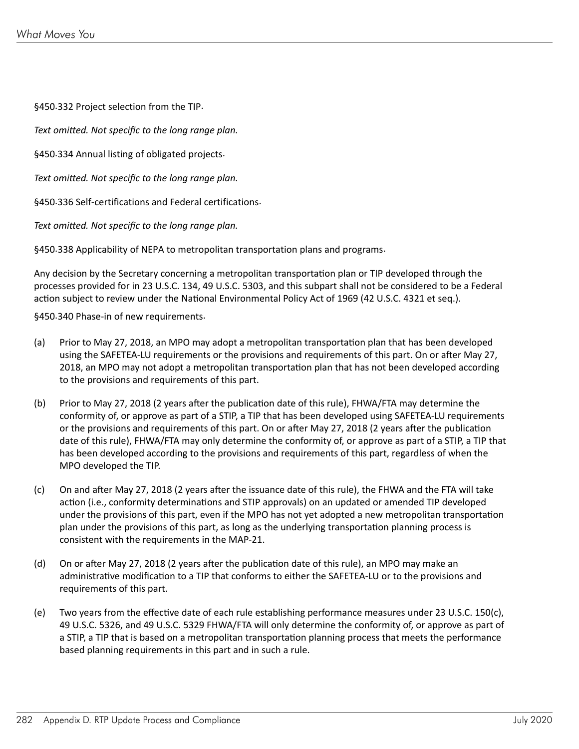§450.332 Project selection from the TIP.

*Text omitted. Not specific to the long range plan.*

§450.334 Annual listing of obligated projects.

*Text omitted. Not specific to the long range plan.*

§450.336 Self-certifications and Federal certifications.

*Text omitted. Not specific to the long range plan.*

§450.338 Applicability of NEPA to metropolitan transportation plans and programs.

Any decision by the Secretary concerning a metropolitan transportation plan or TIP developed through the processes provided for in 23 U.S.C. 134, 49 U.S.C. 5303, and this subpart shall not be considered to be a Federal action subject to review under the National Environmental Policy Act of 1969 (42 U.S.C. 4321 et seq.).

§450.340 Phase-in of new requirements.

- (a) Prior to May 27, 2018, an MPO may adopt a metropolitan transportation plan that has been developed using the SAFETEA-LU requirements or the provisions and requirements of this part. On or after May 27, 2018, an MPO may not adopt a metropolitan transportation plan that has not been developed according to the provisions and requirements of this part.
- (b) Prior to May 27, 2018 (2 years after the publication date of this rule), FHWA/FTA may determine the conformity of, or approve as part of a STIP, a TIP that has been developed using SAFETEA-LU requirements or the provisions and requirements of this part. On or after May 27, 2018 (2 years after the publication date of this rule), FHWA/FTA may only determine the conformity of, or approve as part of a STIP, a TIP that has been developed according to the provisions and requirements of this part, regardless of when the MPO developed the TIP.
- (c) On and after May 27, 2018 (2 years after the issuance date of this rule), the FHWA and the FTA will take action (i.e., conformity determinations and STIP approvals) on an updated or amended TIP developed under the provisions of this part, even if the MPO has not yet adopted a new metropolitan transportation plan under the provisions of this part, as long as the underlying transportation planning process is consistent with the requirements in the MAP-21.
- (d) On or after May 27, 2018 (2 years after the publication date of this rule), an MPO may make an administrative modification to a TIP that conforms to either the SAFETEA-LU or to the provisions and requirements of this part.
- (e) Two years from the effective date of each rule establishing performance measures under 23 U.S.C. 150(c), 49 U.S.C. 5326, and 49 U.S.C. 5329 FHWA/FTA will only determine the conformity of, or approve as part of a STIP, a TIP that is based on a metropolitan transportation planning process that meets the performance based planning requirements in this part and in such a rule.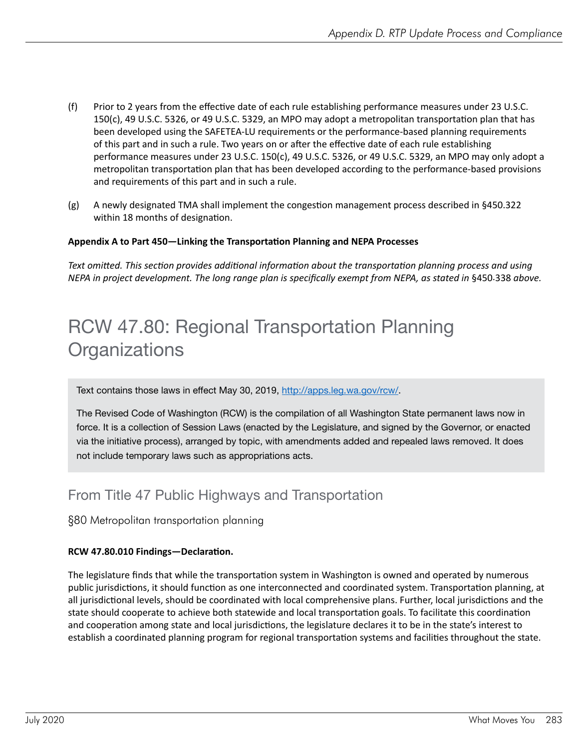- (f) Prior to 2 years from the effective date of each rule establishing performance measures under 23 U.S.C. 150(c), 49 U.S.C. 5326, or 49 U.S.C. 5329, an MPO may adopt a metropolitan transportation plan that has been developed using the SAFETEA-LU requirements or the performance-based planning requirements of this part and in such a rule. Two years on or after the effective date of each rule establishing performance measures under 23 U.S.C. 150(c), 49 U.S.C. 5326, or 49 U.S.C. 5329, an MPO may only adopt a metropolitan transportation plan that has been developed according to the performance-based provisions and requirements of this part and in such a rule.
- (g) A newly designated TMA shall implement the congestion management process described in §450.322 within 18 months of designation.

#### **Appendix A to Part 450—Linking the Transportation Planning and NEPA Processes**

*Text omitted. This section provides additional information about the transportation planning process and using NEPA in project development. The long range plan is specifically exempt from NEPA, as stated in* §450.338 above.

### RCW 47.80: Regional Transportation Planning **Organizations**

Text contains those laws in effect May 30, 2019,<http://apps.leg.wa.gov/rcw/>.

The Revised Code of Washington (RCW) is the compilation of all Washington State permanent laws now in force. It is a collection of Session Laws (enacted by the Legislature, and signed by the Governor, or enacted via the initiative process), arranged by topic, with amendments added and repealed laws removed. It does not include temporary laws such as appropriations acts.

### From Title 47 Public Highways and Transportation

#### §80 Metropolitan transportation planning

#### **RCW 47.80.010 Findings—Declaration.**

The legislature finds that while the transportation system in Washington is owned and operated by numerous public jurisdictions, it should function as one interconnected and coordinated system. Transportation planning, at all jurisdictional levels, should be coordinated with local comprehensive plans. Further, local jurisdictions and the state should cooperate to achieve both statewide and local transportation goals. To facilitate this coordination and cooperation among state and local jurisdictions, the legislature declares it to be in the state's interest to establish a coordinated planning program for regional transportation systems and facilities throughout the state.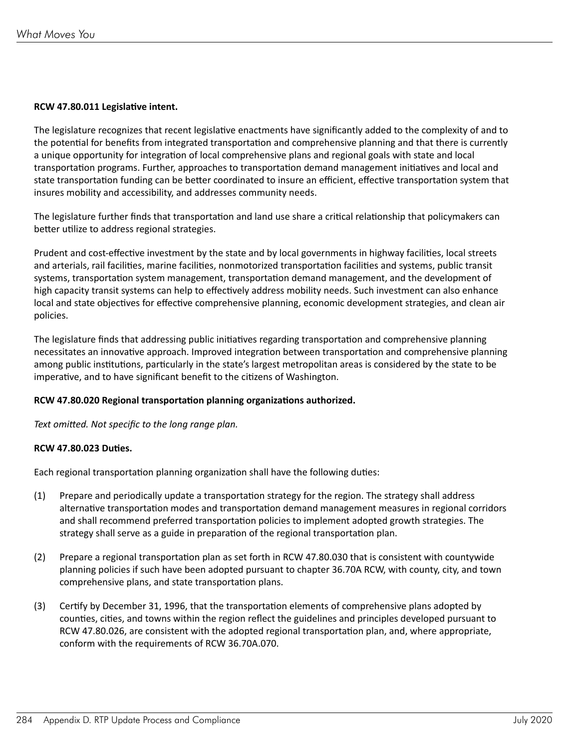#### **RCW 47.80.011 Legislative intent.**

The legislature recognizes that recent legislative enactments have significantly added to the complexity of and to the potential for benefits from integrated transportation and comprehensive planning and that there is currently a unique opportunity for integration of local comprehensive plans and regional goals with state and local transportation programs. Further, approaches to transportation demand management initiatives and local and state transportation funding can be better coordinated to insure an efficient, effective transportation system that insures mobility and accessibility, and addresses community needs.

The legislature further finds that transportation and land use share a critical relationship that policymakers can better utilize to address regional strategies.

Prudent and cost-effective investment by the state and by local governments in highway facilities, local streets and arterials, rail facilities, marine facilities, nonmotorized transportation facilities and systems, public transit systems, transportation system management, transportation demand management, and the development of high capacity transit systems can help to effectively address mobility needs. Such investment can also enhance local and state objectives for effective comprehensive planning, economic development strategies, and clean air policies.

The legislature finds that addressing public initiatives regarding transportation and comprehensive planning necessitates an innovative approach. Improved integration between transportation and comprehensive planning among public institutions, particularly in the state's largest metropolitan areas is considered by the state to be imperative, and to have significant benefit to the citizens of Washington.

#### **RCW 47.80.020 Regional transportation planning organizations authorized.**

*Text omitted. Not specific to the long range plan.*

#### **RCW 47.80.023 Duties.**

Each regional transportation planning organization shall have the following duties:

- (1) Prepare and periodically update a transportation strategy for the region. The strategy shall address alternative transportation modes and transportation demand management measures in regional corridors and shall recommend preferred transportation policies to implement adopted growth strategies. The strategy shall serve as a guide in preparation of the regional transportation plan.
- (2) Prepare a regional transportation plan as set forth in RCW 47.80.030 that is consistent with countywide planning policies if such have been adopted pursuant to chapter 36.70A RCW, with county, city, and town comprehensive plans, and state transportation plans.
- (3) Certify by December 31, 1996, that the transportation elements of comprehensive plans adopted by counties, cities, and towns within the region reflect the guidelines and principles developed pursuant to RCW 47.80.026, are consistent with the adopted regional transportation plan, and, where appropriate, conform with the requirements of RCW 36.70A.070.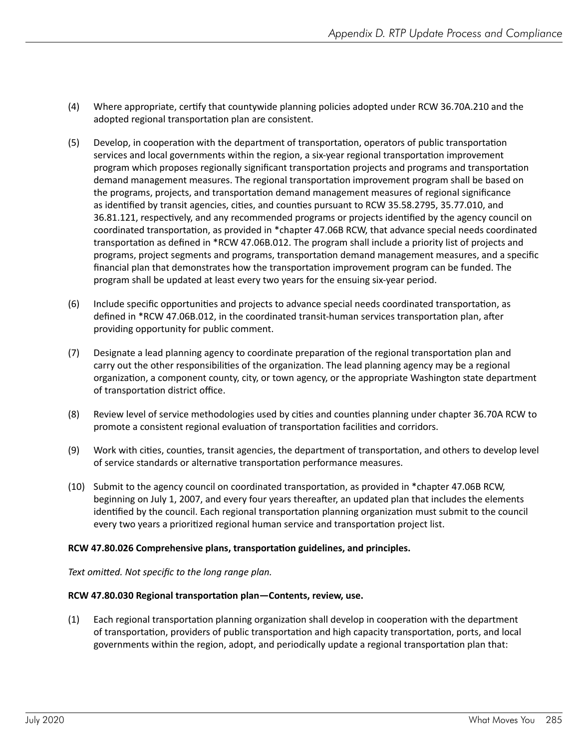- (4) Where appropriate, certify that countywide planning policies adopted under RCW 36.70A.210 and the adopted regional transportation plan are consistent.
- (5) Develop, in cooperation with the department of transportation, operators of public transportation services and local governments within the region, a six-year regional transportation improvement program which proposes regionally significant transportation projects and programs and transportation demand management measures. The regional transportation improvement program shall be based on the programs, projects, and transportation demand management measures of regional significance as identified by transit agencies, cities, and counties pursuant to RCW 35.58.2795, 35.77.010, and 36.81.121, respectively, and any recommended programs or projects identified by the agency council on coordinated transportation, as provided in \*chapter 47.06B RCW, that advance special needs coordinated transportation as defined in \*RCW 47.06B.012. The program shall include a priority list of projects and programs, project segments and programs, transportation demand management measures, and a specific financial plan that demonstrates how the transportation improvement program can be funded. The program shall be updated at least every two years for the ensuing six-year period.
- (6) Include specific opportunities and projects to advance special needs coordinated transportation, as defined in \*RCW 47.06B.012, in the coordinated transit-human services transportation plan, after providing opportunity for public comment.
- (7) Designate a lead planning agency to coordinate preparation of the regional transportation plan and carry out the other responsibilities of the organization. The lead planning agency may be a regional organization, a component county, city, or town agency, or the appropriate Washington state department of transportation district office.
- (8) Review level of service methodologies used by cities and counties planning under chapter 36.70A RCW to promote a consistent regional evaluation of transportation facilities and corridors.
- (9) Work with cities, counties, transit agencies, the department of transportation, and others to develop level of service standards or alternative transportation performance measures.
- (10) Submit to the agency council on coordinated transportation, as provided in  $*$ chapter 47.06B RCW, beginning on July 1, 2007, and every four years thereafter, an updated plan that includes the elements identified by the council. Each regional transportation planning organization must submit to the council every two years a prioritized regional human service and transportation project list.

#### **RCW 47.80.026 Comprehensive plans, transportation guidelines, and principles.**

*Text omitted. Not specific to the long range plan.*

#### **RCW 47.80.030 Regional transportation plan—Contents, review, use.**

(1) Each regional transportation planning organization shall develop in cooperation with the department of transportation, providers of public transportation and high capacity transportation, ports, and local governments within the region, adopt, and periodically update a regional transportation plan that: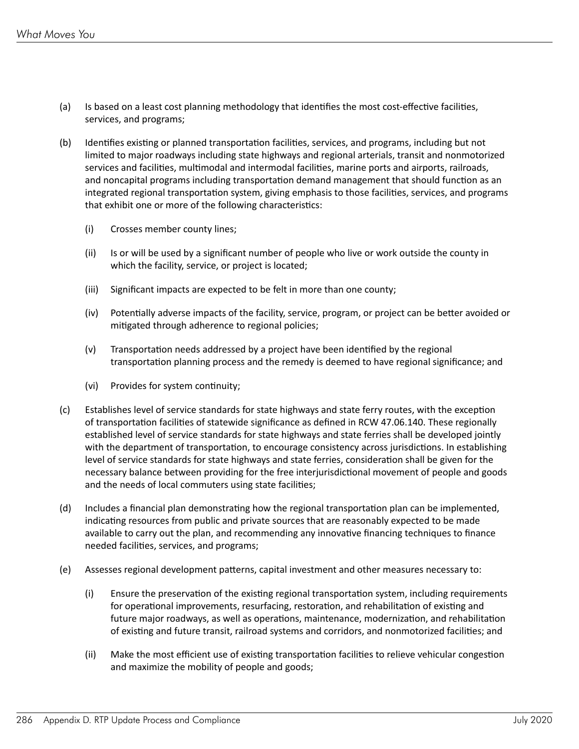- (a) Is based on a least cost planning methodology that identifies the most cost-effective facilities, services, and programs;
- (b) Identifies existing or planned transportation facilities, services, and programs, including but not limited to major roadways including state highways and regional arterials, transit and nonmotorized services and facilities, multimodal and intermodal facilities, marine ports and airports, railroads, and noncapital programs including transportation demand management that should function as an integrated regional transportation system, giving emphasis to those facilities, services, and programs that exhibit one or more of the following characteristics:
	- (i) Crosses member county lines;
	- (ii) Is or will be used by a significant number of people who live or work outside the county in which the facility, service, or project is located;
	- (iii) Significant impacts are expected to be felt in more than one county;
	- (iv) Potentially adverse impacts of the facility, service, program, or project can be better avoided or mitigated through adherence to regional policies;
	- $(v)$  Transportation needs addressed by a project have been identified by the regional transportation planning process and the remedy is deemed to have regional significance; and
	- (vi) Provides for system continuity;
- (c) Establishes level of service standards for state highways and state ferry routes, with the exception of transportation facilities of statewide significance as defined in RCW 47.06.140. These regionally established level of service standards for state highways and state ferries shall be developed jointly with the department of transportation, to encourage consistency across jurisdictions. In establishing level of service standards for state highways and state ferries, consideration shall be given for the necessary balance between providing for the free interjurisdictional movement of people and goods and the needs of local commuters using state facilities;
- (d) Includes a financial plan demonstrating how the regional transportation plan can be implemented, indicating resources from public and private sources that are reasonably expected to be made available to carry out the plan, and recommending any innovative financing techniques to finance needed facilities, services, and programs;
- (e) Assesses regional development patterns, capital investment and other measures necessary to:
	- (i) Ensure the preservation of the existing regional transportation system, including requirements for operational improvements, resurfacing, restoration, and rehabilitation of existing and future major roadways, as well as operations, maintenance, modernization, and rehabilitation of existing and future transit, railroad systems and corridors, and nonmotorized facilities; and
	- (ii) Make the most efficient use of existing transportation facilities to relieve vehicular congestion and maximize the mobility of people and goods;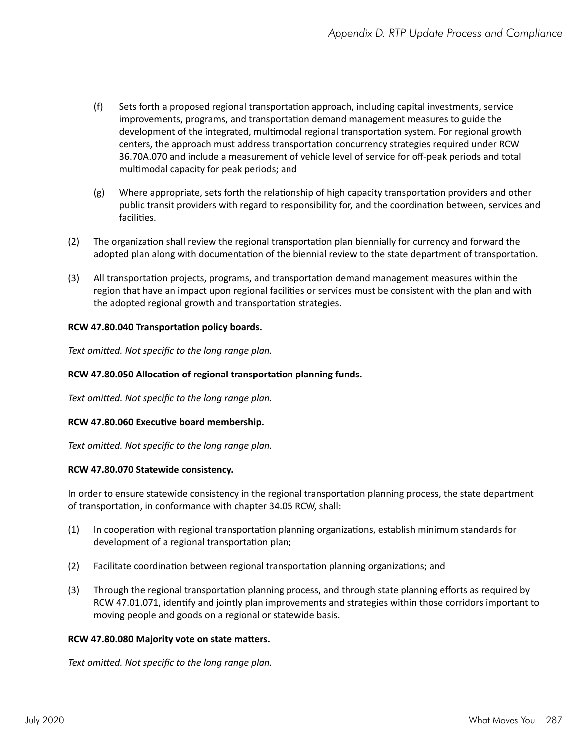- (f) Sets forth a proposed regional transportation approach, including capital investments, service improvements, programs, and transportation demand management measures to guide the development of the integrated, multimodal regional transportation system. For regional growth centers, the approach must address transportation concurrency strategies required under RCW 36.70A.070 and include a measurement of vehicle level of service for off-peak periods and total multimodal capacity for peak periods; and
- (g) Where appropriate, sets forth the relationship of high capacity transportation providers and other public transit providers with regard to responsibility for, and the coordination between, services and facilities.
- (2) The organization shall review the regional transportation plan biennially for currency and forward the adopted plan along with documentation of the biennial review to the state department of transportation.
- (3) All transportation projects, programs, and transportation demand management measures within the region that have an impact upon regional facilities or services must be consistent with the plan and with the adopted regional growth and transportation strategies.

#### **RCW 47.80.040 Transportation policy boards.**

*Text omitted. Not specific to the long range plan.*

#### **RCW 47.80.050 Allocation of regional transportation planning funds.**

*Text omitted. Not specific to the long range plan.*

#### **RCW 47.80.060 Executive board membership.**

*Text omitted. Not specific to the long range plan.*

#### **RCW 47.80.070 Statewide consistency.**

In order to ensure statewide consistency in the regional transportation planning process, the state department of transportation, in conformance with chapter 34.05 RCW, shall:

- (1) In cooperation with regional transportation planning organizations, establish minimum standards for development of a regional transportation plan;
- (2) Facilitate coordination between regional transportation planning organizations; and
- (3) Through the regional transportation planning process, and through state planning efforts as required by RCW 47.01.071, identify and jointly plan improvements and strategies within those corridors important to moving people and goods on a regional or statewide basis.

#### **RCW 47.80.080 Majority vote on state matters.**

*Text omitted. Not specific to the long range plan.*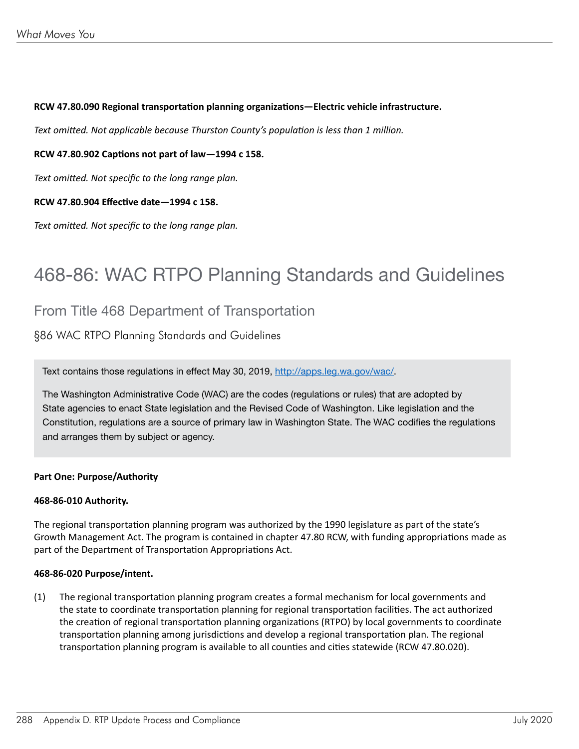#### **RCW 47.80.090 Regional transportation planning organizations—Electric vehicle infrastructure.**

*Text omitted. Not applicable because Thurston County's population is less than 1 million.*

#### **RCW 47.80.902 Captions not part of law—1994 c 158.**

*Text omitted. Not specific to the long range plan.*

#### **RCW 47.80.904 Effective date—1994 c 158.**

*Text omitted. Not specific to the long range plan.*

### 468-86: WAC RTPO Planning Standards and Guidelines

#### From Title 468 Department of Transportation

§86 WAC RTPO Planning Standards and Guidelines

Text contains those regulations in effect May 30, 2019, [http://apps.leg.wa.gov/wac/.](http://apps.leg.wa.gov/wac/)

The Washington Administrative Code (WAC) are the codes (regulations or rules) that are adopted by State agencies to enact State legislation and the Revised Code of Washington. Like legislation and the Constitution, regulations are a source of primary law in Washington State. The WAC codifies the regulations and arranges them by subject or agency.

#### **Part One: Purpose/Authority**

#### **468-86-010 Authority.**

The regional transportation planning program was authorized by the 1990 legislature as part of the state's Growth Management Act. The program is contained in chapter 47.80 RCW, with funding appropriations made as part of the Department of Transportation Appropriations Act.

#### **468-86-020 Purpose/intent.**

(1) The regional transportation planning program creates a formal mechanism for local governments and the state to coordinate transportation planning for regional transportation facilities. The act authorized the creation of regional transportation planning organizations (RTPO) by local governments to coordinate transportation planning among jurisdictions and develop a regional transportation plan. The regional transportation planning program is available to all counties and cities statewide (RCW 47.80.020).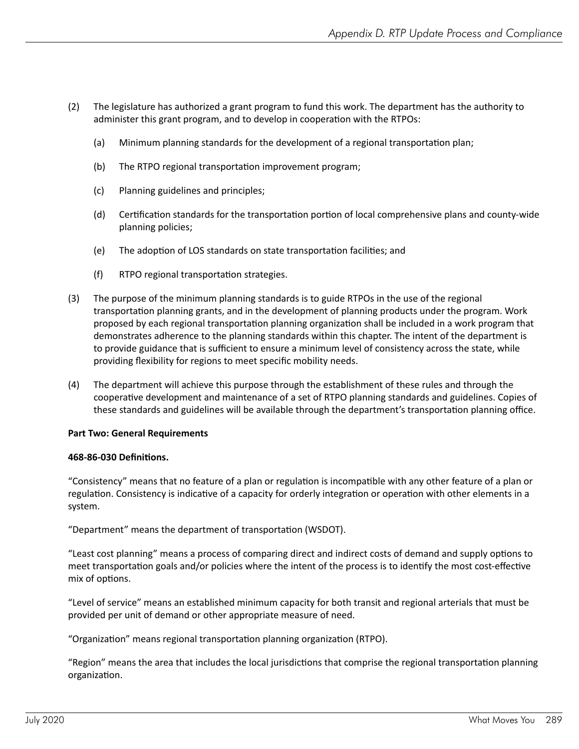- (2) The legislature has authorized a grant program to fund this work. The department has the authority to administer this grant program, and to develop in cooperation with the RTPOs:
	- (a) Minimum planning standards for the development of a regional transportation plan;
	- (b) The RTPO regional transportation improvement program;
	- (c) Planning guidelines and principles;
	- (d) Certification standards for the transportation portion of local comprehensive plans and county-wide planning policies;
	- (e) The adoption of LOS standards on state transportation facilities; and
	- (f) RTPO regional transportation strategies.
- (3) The purpose of the minimum planning standards is to guide RTPOs in the use of the regional transportation planning grants, and in the development of planning products under the program. Work proposed by each regional transportation planning organization shall be included in a work program that demonstrates adherence to the planning standards within this chapter. The intent of the department is to provide guidance that is sufficient to ensure a minimum level of consistency across the state, while providing flexibility for regions to meet specific mobility needs.
- (4) The department will achieve this purpose through the establishment of these rules and through the cooperative development and maintenance of a set of RTPO planning standards and guidelines. Copies of these standards and guidelines will be available through the department's transportation planning office.

#### **Part Two: General Requirements**

#### **468-86-030 Definitions.**

"Consistency" means that no feature of a plan or regulation is incompatible with any other feature of a plan or regulation. Consistency is indicative of a capacity for orderly integration or operation with other elements in a system.

"Department" means the department of transportation (WSDOT).

"Least cost planning" means a process of comparing direct and indirect costs of demand and supply options to meet transportation goals and/or policies where the intent of the process is to identify the most cost-effective mix of options.

"Level of service" means an established minimum capacity for both transit and regional arterials that must be provided per unit of demand or other appropriate measure of need.

"Organization" means regional transportation planning organization (RTPO).

"Region" means the area that includes the local jurisdictions that comprise the regional transportation planning organization.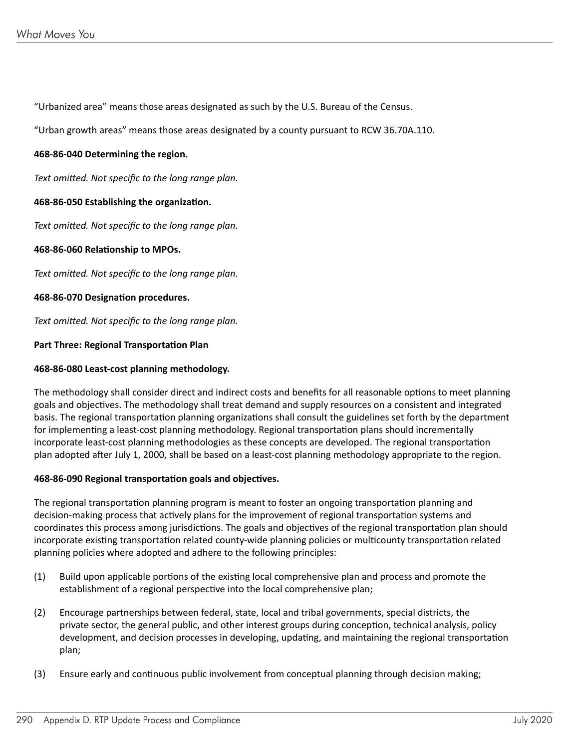"Urbanized area" means those areas designated as such by the U.S. Bureau of the Census.

"Urban growth areas" means those areas designated by a county pursuant to RCW 36.70A.110.

#### **468-86-040 Determining the region.**

*Text omitted. Not specific to the long range plan.*

#### **468-86-050 Establishing the organization.**

*Text omitted. Not specific to the long range plan.*

#### **468-86-060 Relationship to MPOs.**

*Text omitted. Not specific to the long range plan.*

#### **468-86-070 Designation procedures.**

*Text omitted. Not specific to the long range plan.*

#### **Part Three: Regional Transportation Plan**

#### **468-86-080 Least-cost planning methodology.**

The methodology shall consider direct and indirect costs and benefits for all reasonable options to meet planning goals and objectives. The methodology shall treat demand and supply resources on a consistent and integrated basis. The regional transportation planning organizations shall consult the guidelines set forth by the department for implementing a least-cost planning methodology. Regional transportation plans should incrementally incorporate least-cost planning methodologies as these concepts are developed. The regional transportation plan adopted after July 1, 2000, shall be based on a least-cost planning methodology appropriate to the region.

#### **468-86-090 Regional transportation goals and objectives.**

The regional transportation planning program is meant to foster an ongoing transportation planning and decision-making process that actively plans for the improvement of regional transportation systems and coordinates this process among jurisdictions. The goals and objectives of the regional transportation plan should incorporate existing transportation related county-wide planning policies or multicounty transportation related planning policies where adopted and adhere to the following principles:

- (1) Build upon applicable portions of the existing local comprehensive plan and process and promote the establishment of a regional perspective into the local comprehensive plan;
- (2) Encourage partnerships between federal, state, local and tribal governments, special districts, the private sector, the general public, and other interest groups during conception, technical analysis, policy development, and decision processes in developing, updating, and maintaining the regional transportation plan;
- (3) Ensure early and continuous public involvement from conceptual planning through decision making;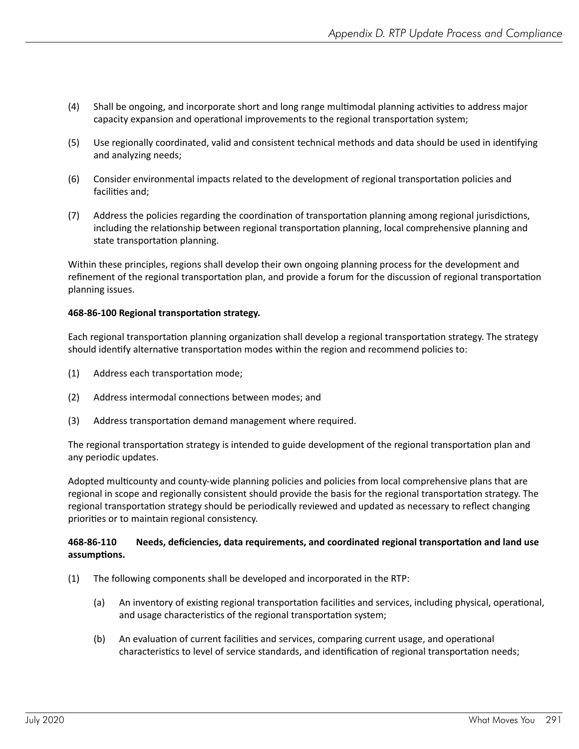- (4) Shall be ongoing, and incorporate short and long range multimodal planning activities to address major capacity expansion and operational improvements to the regional transportation system;
- (5) Use regionally coordinated, valid and consistent technical methods and data should be used in identifying and analyzing needs;
- (6) Consider environmental impacts related to the development of regional transportation policies and facilities and;
- (7) Address the policies regarding the coordination of transportation planning among regional jurisdictions, including the relationship between regional transportation planning, local comprehensive planning and state transportation planning.

Within these principles, regions shall develop their own ongoing planning process for the development and refinement of the regional transportation plan, and provide a forum for the discussion of regional transportation planning issues.

#### **468-86-100 Regional transportation strategy.**

Each regional transportation planning organization shall develop a regional transportation strategy. The strategy should identify alternative transportation modes within the region and recommend policies to:

- (1) Address each transportation mode;
- (2) Address intermodal connections between modes; and
- (3) Address transportation demand management where required.

The regional transportation strategy is intended to guide development of the regional transportation plan and any periodic updates.

Adopted multicounty and county-wide planning policies and policies from local comprehensive plans that are regional in scope and regionally consistent should provide the basis for the regional transportation strategy. The regional transportation strategy should be periodically reviewed and updated as necessary to reflect changing priorities or to maintain regional consistency.

#### **468-86-110 Needs, deficiencies, data requirements, and coordinated regional transportation and land use assumptions.**

- (1) The following components shall be developed and incorporated in the RTP:
	- (a) An inventory of existing regional transportation facilities and services, including physical, operational, and usage characteristics of the regional transportation system;
	- (b) An evaluation of current facilities and services, comparing current usage, and operational characteristics to level of service standards, and identification of regional transportation needs;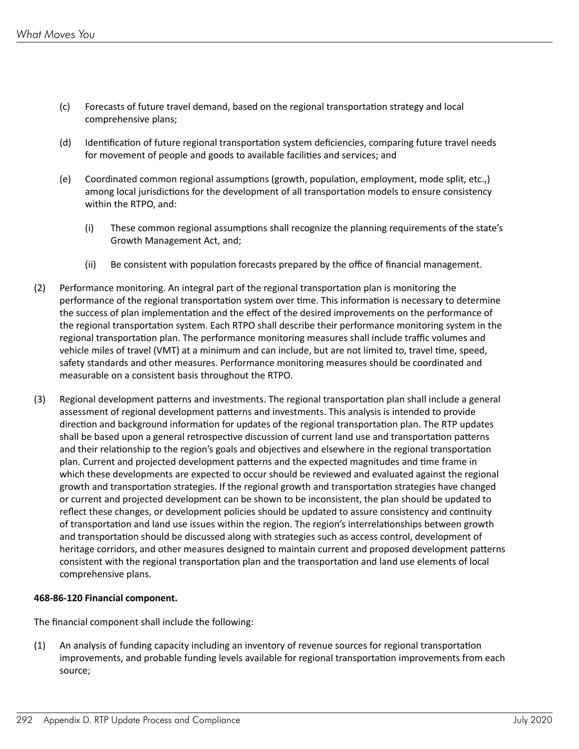- (c) Forecasts of future travel demand, based on the regional transportation strategy and local comprehensive plans;
- (d) Identification of future regional transportation system deficiencies, comparing future travel needs for movement of people and goods to available facilities and services; and
- (e) Coordinated common regional assumptions (growth, population, employment, mode split, etc.,) among local jurisdictions for the development of all transportation models to ensure consistency within the RTPO, and:
	- (i) These common regional assumptions shall recognize the planning requirements of the state's Growth Management Act, and;
	- (ii) Be consistent with population forecasts prepared by the office of financial management.
- (2) Performance monitoring. An integral part of the regional transportation plan is monitoring the performance of the regional transportation system over time. This information is necessary to determine the success of plan implementation and the effect of the desired improvements on the performance of the regional transportation system. Each RTPO shall describe their performance monitoring system in the regional transportation plan. The performance monitoring measures shall include traffic volumes and vehicle miles of travel (VMT) at a minimum and can include, but are not limited to, travel time, speed, safety standards and other measures. Performance monitoring measures should be coordinated and measurable on a consistent basis throughout the RTPO.
- (3) Regional development patterns and investments. The regional transportation plan shall include a general assessment of regional development patterns and investments. This analysis is intended to provide direction and background information for updates of the regional transportation plan. The RTP updates shall be based upon a general retrospective discussion of current land use and transportation patterns and their relationship to the region's goals and objectives and elsewhere in the regional transportation plan. Current and projected development patterns and the expected magnitudes and time frame in which these developments are expected to occur should be reviewed and evaluated against the regional growth and transportation strategies. If the regional growth and transportation strategies have changed or current and projected development can be shown to be inconsistent, the plan should be updated to reflect these changes, or development policies should be updated to assure consistency and continuity of transportation and land use issues within the region. The region's interrelationships between growth and transportation should be discussed along with strategies such as access control, development of heritage corridors, and other measures designed to maintain current and proposed development patterns consistent with the regional transportation plan and the transportation and land use elements of local comprehensive plans.

#### **468-86-120 Financial component.**

The financial component shall include the following:

(1) An analysis of funding capacity including an inventory of revenue sources for regional transportation improvements, and probable funding levels available for regional transportation improvements from each source;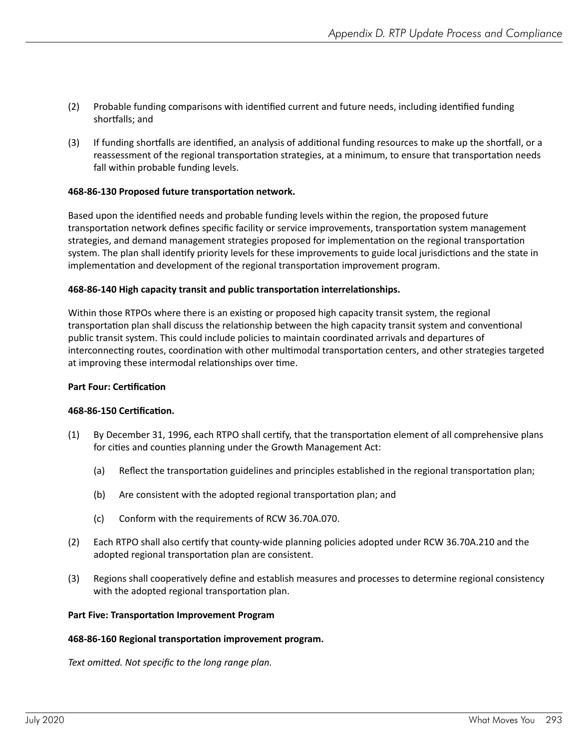- (2) Probable funding comparisons with identified current and future needs, including identified funding shortfalls; and
- (3) If funding shortfalls are identified, an analysis of additional funding resources to make up the shortfall, or a reassessment of the regional transportation strategies, at a minimum, to ensure that transportation needs fall within probable funding levels.

#### **468-86-130 Proposed future transportation network.**

Based upon the identified needs and probable funding levels within the region, the proposed future transportation network defines specific facility or service improvements, transportation system management strategies, and demand management strategies proposed for implementation on the regional transportation system. The plan shall identify priority levels for these improvements to guide local jurisdictions and the state in implementation and development of the regional transportation improvement program.

#### **468-86-140 High capacity transit and public transportation interrelationships.**

Within those RTPOs where there is an existing or proposed high capacity transit system, the regional transportation plan shall discuss the relationship between the high capacity transit system and conventional public transit system. This could include policies to maintain coordinated arrivals and departures of interconnecting routes, coordination with other multimodal transportation centers, and other strategies targeted at improving these intermodal relationships over time.

#### **Part Four: Certification**

#### **468-86-150 Certification.**

- (1) By December 31, 1996, each RTPO shall certify, that the transportation element of all comprehensive plans for cities and counties planning under the Growth Management Act:
	- (a) Reflect the transportation guidelines and principles established in the regional transportation plan;
	- (b) Are consistent with the adopted regional transportation plan; and
	- (c) Conform with the requirements of RCW 36.70A.070.
- (2) Each RTPO shall also certify that county-wide planning policies adopted under RCW 36.70A.210 and the adopted regional transportation plan are consistent.
- (3) Regions shall cooperatively define and establish measures and processes to determine regional consistency with the adopted regional transportation plan.

#### **Part Five: Transportation Improvement Program**

#### **468-86-160 Regional transportation improvement program.**

*Text omitted. Not specific to the long range plan.*